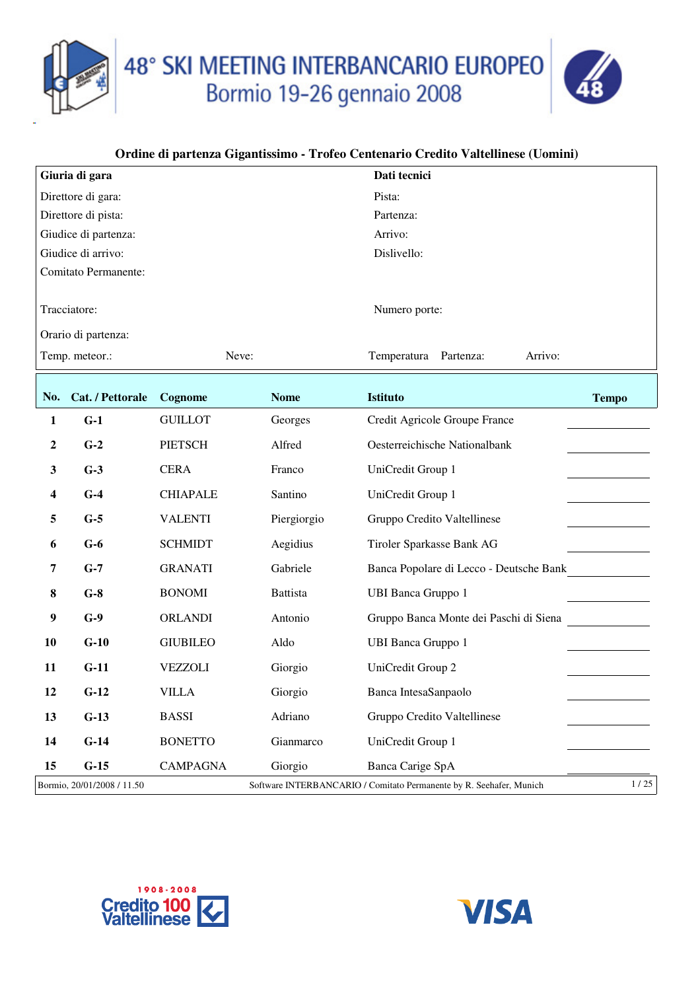48° SKI MEETING INTERBANCARIO EUROPEO<br>Bormio 19-26 gennaio 2008



|           | Giuria di gara             |                 |                 | Dati tecnici                                                        |              |
|-----------|----------------------------|-----------------|-----------------|---------------------------------------------------------------------|--------------|
|           | Direttore di gara:         |                 |                 | Pista:                                                              |              |
|           | Direttore di pista:        |                 |                 | Partenza:                                                           |              |
|           | Giudice di partenza:       |                 |                 | Arrivo:                                                             |              |
|           | Giudice di arrivo:         |                 |                 | Dislivello:                                                         |              |
|           | Comitato Permanente:       |                 |                 |                                                                     |              |
|           | Tracciatore:               |                 |                 | Numero porte:                                                       |              |
|           | Orario di partenza:        |                 |                 |                                                                     |              |
|           | Temp. meteor.:             | Neve:           |                 | Temperatura Partenza:<br>Arrivo:                                    |              |
| No.       | Cat. / Pettorale           | Cognome         | <b>Nome</b>     | <b>Istituto</b>                                                     | <b>Tempo</b> |
| 1         | $G-1$                      | <b>GUILLOT</b>  | Georges         | Credit Agricole Groupe France                                       |              |
| 2         | $G-2$                      | PIETSCH         | Alfred          | Oesterreichische Nationalbank                                       |              |
| 3         | $G-3$                      | <b>CERA</b>     | Franco          | UniCredit Group 1                                                   |              |
| 4         | $G-4$                      | <b>CHIAPALE</b> | Santino         | UniCredit Group 1                                                   |              |
| 5         | $G-5$                      | <b>VALENTI</b>  | Piergiorgio     | Gruppo Credito Valtellinese                                         |              |
| 6         | $G-6$                      | <b>SCHMIDT</b>  | Aegidius        | Tiroler Sparkasse Bank AG                                           |              |
| 7         | $G-7$                      | <b>GRANATI</b>  | Gabriele        | Banca Popolare di Lecco - Deutsche Bank                             |              |
| 8         | $G-8$                      | <b>BONOMI</b>   | <b>Battista</b> | <b>UBI Banca Gruppo 1</b>                                           |              |
| 9         | $G-9$                      | <b>ORLANDI</b>  | Antonio         | Gruppo Banca Monte dei Paschi di Siena                              |              |
| <b>10</b> | $G-10$                     | <b>GIUBILEO</b> | Aldo            | <b>UBI Banca Gruppo 1</b>                                           |              |
| 11        | $G-11$                     | <b>VEZZOLI</b>  | Giorgio         | UniCredit Group 2                                                   |              |
| 12        | $G-12$                     | VILLA           | Giorgio         | Banca IntesaSanpaolo                                                |              |
| 13        | $G-13$                     | <b>BASSI</b>    | Adriano         | Gruppo Credito Valtellinese                                         |              |
| 14        | $G-14$                     | <b>BONETTO</b>  | Gianmarco       | UniCredit Group 1                                                   |              |
| 15        | $G-15$                     | <b>CAMPAGNA</b> | Giorgio         | Banca Carige SpA                                                    |              |
|           | Bormio, 20/01/2008 / 11.50 |                 |                 | Software INTERBANCARIO / Comitato Permanente by R. Seehafer, Munich | 1/25         |



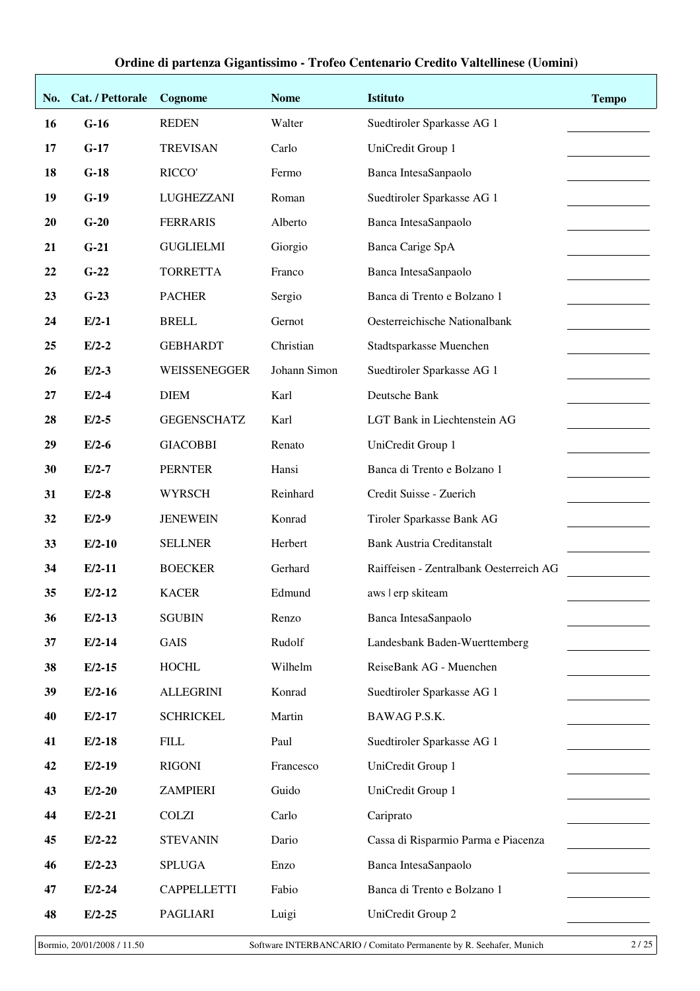| No. | Cat. / Pettorale | Cognome            | <b>Nome</b>  | <b>Istituto</b>                         | <b>Tempo</b> |
|-----|------------------|--------------------|--------------|-----------------------------------------|--------------|
| 16  | $G-16$           | <b>REDEN</b>       | Walter       | Suedtiroler Sparkasse AG 1              |              |
| 17  | $G-17$           | <b>TREVISAN</b>    | Carlo        | UniCredit Group 1                       |              |
| 18  | $G-18$           | RICCO'             | Fermo        | Banca IntesaSanpaolo                    |              |
| 19  | $G-19$           | LUGHEZZANI         | Roman        | Suedtiroler Sparkasse AG 1              |              |
| 20  | $G-20$           | <b>FERRARIS</b>    | Alberto      | Banca IntesaSanpaolo                    |              |
| 21  | $G-21$           | <b>GUGLIELMI</b>   | Giorgio      | Banca Carige SpA                        |              |
| 22  | $G-22$           | <b>TORRETTA</b>    | Franco       | Banca IntesaSanpaolo                    |              |
| 23  | $G-23$           | <b>PACHER</b>      | Sergio       | Banca di Trento e Bolzano 1             |              |
| 24  | $E/2-1$          | <b>BRELL</b>       | Gernot       | Oesterreichische Nationalbank           |              |
| 25  | $E/2-2$          | <b>GEBHARDT</b>    | Christian    | Stadtsparkasse Muenchen                 |              |
| 26  | $E/2-3$          | WEISSENEGGER       | Johann Simon | Suedtiroler Sparkasse AG 1              |              |
| 27  | $E/2-4$          | <b>DIEM</b>        | Karl         | Deutsche Bank                           |              |
| 28  | $E/2-5$          | <b>GEGENSCHATZ</b> | Karl         | LGT Bank in Liechtenstein AG            |              |
| 29  | $E/2-6$          | <b>GIACOBBI</b>    | Renato       | UniCredit Group 1                       |              |
| 30  | $E/2-7$          | <b>PERNTER</b>     | Hansi        | Banca di Trento e Bolzano 1             |              |
| 31  | $E/2-8$          | <b>WYRSCH</b>      | Reinhard     | Credit Suisse - Zuerich                 |              |
| 32  | $E/2-9$          | <b>JENEWEIN</b>    | Konrad       | Tiroler Sparkasse Bank AG               |              |
| 33  | $E/2-10$         | <b>SELLNER</b>     | Herbert      | <b>Bank Austria Creditanstalt</b>       |              |
| 34  | $E/2-11$         | <b>BOECKER</b>     | Gerhard      | Raiffeisen - Zentralbank Oesterreich AG |              |
| 35  | $E/2-12$         | <b>KACER</b>       | Edmund       | aws   erp skiteam                       |              |
| 36  | $E/2-13$         | <b>SGUBIN</b>      | Renzo        | Banca IntesaSanpaolo                    |              |
| 37  | $E/2-14$         | <b>GAIS</b>        | Rudolf       | Landesbank Baden-Wuerttemberg           |              |
| 38  | $E/2-15$         | <b>HOCHL</b>       | Wilhelm      | ReiseBank AG - Muenchen                 |              |
| 39  | $E/2-16$         | <b>ALLEGRINI</b>   | Konrad       | Suedtiroler Sparkasse AG 1              |              |
| 40  | $E/2-17$         | <b>SCHRICKEL</b>   | Martin       | BAWAG P.S.K.                            |              |
| 41  | $E/2-18$         | <b>FILL</b>        | Paul         | Suedtiroler Sparkasse AG 1              |              |
| 42  | $E/2-19$         | <b>RIGONI</b>      | Francesco    | UniCredit Group 1                       |              |
| 43  | $E/2-20$         | <b>ZAMPIERI</b>    | Guido        | UniCredit Group 1                       |              |
| 44  | $E/2-21$         | <b>COLZI</b>       | Carlo        | Cariprato                               |              |
| 45  | $E/2-22$         | <b>STEVANIN</b>    | Dario        | Cassa di Risparmio Parma e Piacenza     |              |
| 46  | $E/2-23$         | <b>SPLUGA</b>      | Enzo         | Banca IntesaSanpaolo                    |              |
| 47  | $E/2-24$         | <b>CAPPELLETTI</b> | Fabio        | Banca di Trento e Bolzano 1             |              |
| 48  | $E/2-25$         | <b>PAGLIARI</b>    | Luigi        | UniCredit Group 2                       |              |

Bormio, 20/01/2008 / 11.50 Software INTERBANCARIO / Comitato Permanente by R. Seehafer, Munich 2 / 25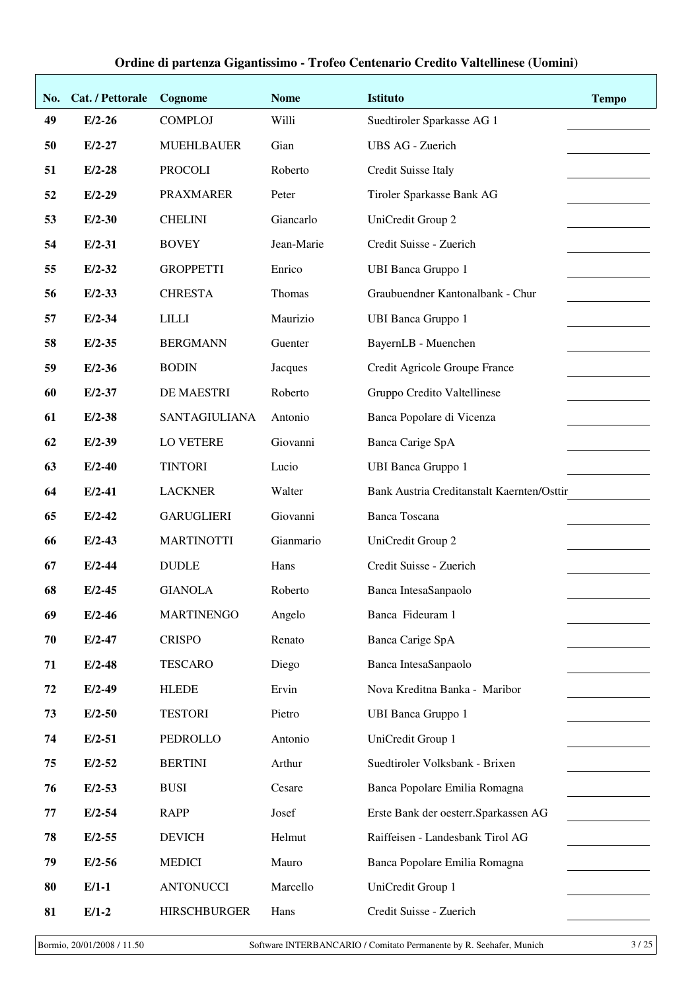| No. | Cat. / Pettorale | Cognome              | <b>Nome</b> | <b>Istituto</b>                            | <b>Tempo</b> |
|-----|------------------|----------------------|-------------|--------------------------------------------|--------------|
| 49  | $E/2-26$         | <b>COMPLOJ</b>       | Willi       | Suedtiroler Sparkasse AG 1                 |              |
| 50  | $E/2-27$         | <b>MUEHLBAUER</b>    | Gian        | <b>UBS AG - Zuerich</b>                    |              |
| 51  | $E/2-28$         | <b>PROCOLI</b>       | Roberto     | Credit Suisse Italy                        |              |
| 52  | $E/2-29$         | <b>PRAXMARER</b>     | Peter       | Tiroler Sparkasse Bank AG                  |              |
| 53  | $E/2-30$         | <b>CHELINI</b>       | Giancarlo   | UniCredit Group 2                          |              |
| 54  | $E/2-31$         | <b>BOVEY</b>         | Jean-Marie  | Credit Suisse - Zuerich                    |              |
| 55  | $E/2-32$         | <b>GROPPETTI</b>     | Enrico      | <b>UBI Banca Gruppo 1</b>                  |              |
| 56  | $E/2-33$         | <b>CHRESTA</b>       | Thomas      | Graubuendner Kantonalbank - Chur           |              |
| 57  | $E/2 - 34$       | <b>LILLI</b>         | Maurizio    | <b>UBI Banca Gruppo 1</b>                  |              |
| 58  | $E/2-35$         | <b>BERGMANN</b>      | Guenter     | BayernLB - Muenchen                        |              |
| 59  | $E/2-36$         | <b>BODIN</b>         | Jacques     | Credit Agricole Groupe France              |              |
| 60  | $E/2-37$         | DE MAESTRI           | Roberto     | Gruppo Credito Valtellinese                |              |
| 61  | $E/2-38$         | <b>SANTAGIULIANA</b> | Antonio     | Banca Popolare di Vicenza                  |              |
| 62  | $E/2-39$         | LO VETERE            | Giovanni    | Banca Carige SpA                           |              |
| 63  | $E/2-40$         | <b>TINTORI</b>       | Lucio       | <b>UBI Banca Gruppo 1</b>                  |              |
| 64  | $E/2-41$         | <b>LACKNER</b>       | Walter      | Bank Austria Creditanstalt Kaernten/Osttir |              |
| 65  | $E/2-42$         | <b>GARUGLIERI</b>    | Giovanni    | <b>Banca Toscana</b>                       |              |
| 66  | $E/2-43$         | <b>MARTINOTTI</b>    | Gianmario   | UniCredit Group 2                          |              |
| 67  | $E/2-44$         | <b>DUDLE</b>         | Hans        | Credit Suisse - Zuerich                    |              |
| 68  | $E/2-45$         | <b>GIANOLA</b>       | Roberto     | Banca IntesaSanpaolo                       |              |
| 69  | $E/2-46$         | <b>MARTINENGO</b>    | Angelo      | Banca Fideuram 1                           |              |
| 70  | $E/2-47$         | <b>CRISPO</b>        | Renato      | Banca Carige SpA                           |              |
| 71  | $E/2-48$         | <b>TESCARO</b>       | Diego       | Banca IntesaSanpaolo                       |              |
| 72  | $E/2-49$         | <b>HLEDE</b>         | Ervin       | Nova Kreditna Banka - Maribor              |              |
| 73  | $E/2-50$         | <b>TESTORI</b>       | Pietro      | <b>UBI Banca Gruppo 1</b>                  |              |
| 74  | $E/2-51$         | PEDROLLO             | Antonio     | UniCredit Group 1                          |              |
| 75  | $E/2-52$         | <b>BERTINI</b>       | Arthur      | Suedtiroler Volksbank - Brixen             |              |
| 76  | $E/2-53$         | <b>BUSI</b>          | Cesare      | Banca Popolare Emilia Romagna              |              |
| 77  | $E/2-54$         | <b>RAPP</b>          | Josef       | Erste Bank der oesterr. Sparkassen AG      |              |
| 78  | $E/2-55$         | <b>DEVICH</b>        | Helmut      | Raiffeisen - Landesbank Tirol AG           |              |
| 79  | $E/2-56$         | <b>MEDICI</b>        | Mauro       | Banca Popolare Emilia Romagna              |              |
| 80  | $E/1-1$          | <b>ANTONUCCI</b>     | Marcello    | UniCredit Group 1                          |              |
| 81  | $E/1-2$          | <b>HIRSCHBURGER</b>  | Hans        | Credit Suisse - Zuerich                    |              |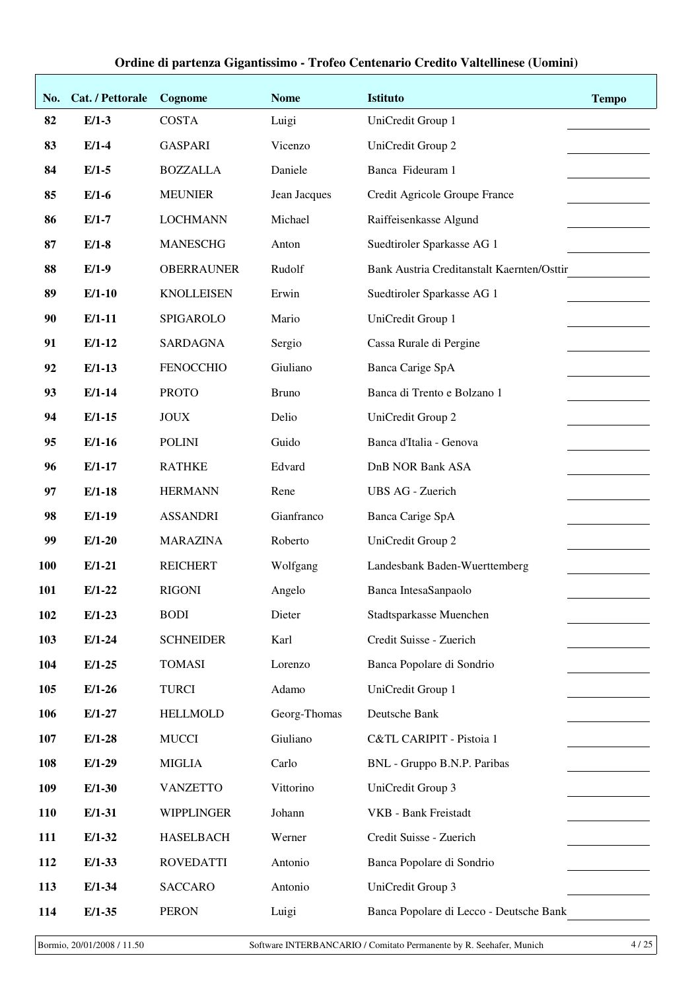| No.        | Cat. / Pettorale | Cognome           | <b>Nome</b>  | <b>Istituto</b>                            | <b>Tempo</b> |
|------------|------------------|-------------------|--------------|--------------------------------------------|--------------|
| 82         | $E/1-3$          | <b>COSTA</b>      | Luigi        | UniCredit Group 1                          |              |
| 83         | $E/1-4$          | <b>GASPARI</b>    | Vicenzo      | UniCredit Group 2                          |              |
| 84         | $E/1-5$          | <b>BOZZALLA</b>   | Daniele      | Banca Fideuram 1                           |              |
| 85         | $E/1-6$          | <b>MEUNIER</b>    | Jean Jacques | Credit Agricole Groupe France              |              |
| 86         | $E/1-7$          | <b>LOCHMANN</b>   | Michael      | Raiffeisenkasse Algund                     |              |
| 87         | $E/1-8$          | <b>MANESCHG</b>   | Anton        | Suedtiroler Sparkasse AG 1                 |              |
| 88         | $E/1-9$          | <b>OBERRAUNER</b> | Rudolf       | Bank Austria Creditanstalt Kaernten/Osttir |              |
| 89         | $E/1-10$         | <b>KNOLLEISEN</b> | Erwin        | Suedtiroler Sparkasse AG 1                 |              |
| 90         | $E/1-11$         | SPIGAROLO         | Mario        | UniCredit Group 1                          |              |
| 91         | $E/1-12$         | <b>SARDAGNA</b>   | Sergio       | Cassa Rurale di Pergine                    |              |
| 92         | $E/1-13$         | <b>FENOCCHIO</b>  | Giuliano     | Banca Carige SpA                           |              |
| 93         | $E/1-14$         | <b>PROTO</b>      | <b>Bruno</b> | Banca di Trento e Bolzano 1                |              |
| 94         | $E/1-15$         | <b>JOUX</b>       | Delio        | UniCredit Group 2                          |              |
| 95         | $E/1-16$         | <b>POLINI</b>     | Guido        | Banca d'Italia - Genova                    |              |
| 96         | $E/1-17$         | <b>RATHKE</b>     | Edvard       | <b>DnB NOR Bank ASA</b>                    |              |
| 97         | $E/1-18$         | <b>HERMANN</b>    | Rene         | <b>UBS AG - Zuerich</b>                    |              |
| 98         | $E/1-19$         | <b>ASSANDRI</b>   | Gianfranco   | Banca Carige SpA                           |              |
| 99         | $E/1-20$         | <b>MARAZINA</b>   | Roberto      | UniCredit Group 2                          |              |
| <b>100</b> | $E/1-21$         | <b>REICHERT</b>   | Wolfgang     | Landesbank Baden-Wuerttemberg              |              |
| 101        | $E/1-22$         | <b>RIGONI</b>     | Angelo       | Banca IntesaSanpaolo                       |              |
| 102        | $E/1-23$         | <b>BODI</b>       | Dieter       | Stadtsparkasse Muenchen                    |              |
| 103        | $E/1-24$         | <b>SCHNEIDER</b>  | Karl         | Credit Suisse - Zuerich                    |              |
| 104        | $E/1-25$         | <b>TOMASI</b>     | Lorenzo      | Banca Popolare di Sondrio                  |              |
| 105        | $E/1-26$         | <b>TURCI</b>      | Adamo        | UniCredit Group 1                          |              |
| 106        | $E/1-27$         | <b>HELLMOLD</b>   | Georg-Thomas | Deutsche Bank                              |              |
| 107        | $E/1-28$         | <b>MUCCI</b>      | Giuliano     | C&TL CARIPIT - Pistoia 1                   |              |
| 108        | $E/1-29$         | <b>MIGLIA</b>     | Carlo        | BNL - Gruppo B.N.P. Paribas                |              |
| 109        | $E/1-30$         | <b>VANZETTO</b>   | Vittorino    | UniCredit Group 3                          |              |
| 110        | $E/1-31$         | WIPPLINGER        | Johann       | VKB - Bank Freistadt                       |              |
| 111        | $E/1-32$         | <b>HASELBACH</b>  | Werner       | Credit Suisse - Zuerich                    |              |
| 112        | $E/1-33$         | <b>ROVEDATTI</b>  | Antonio      | Banca Popolare di Sondrio                  |              |
| 113        | $E/1-34$         | <b>SACCARO</b>    | Antonio      | UniCredit Group 3                          |              |
| 114        | $E/1-35$         | <b>PERON</b>      | Luigi        | Banca Popolare di Lecco - Deutsche Bank    |              |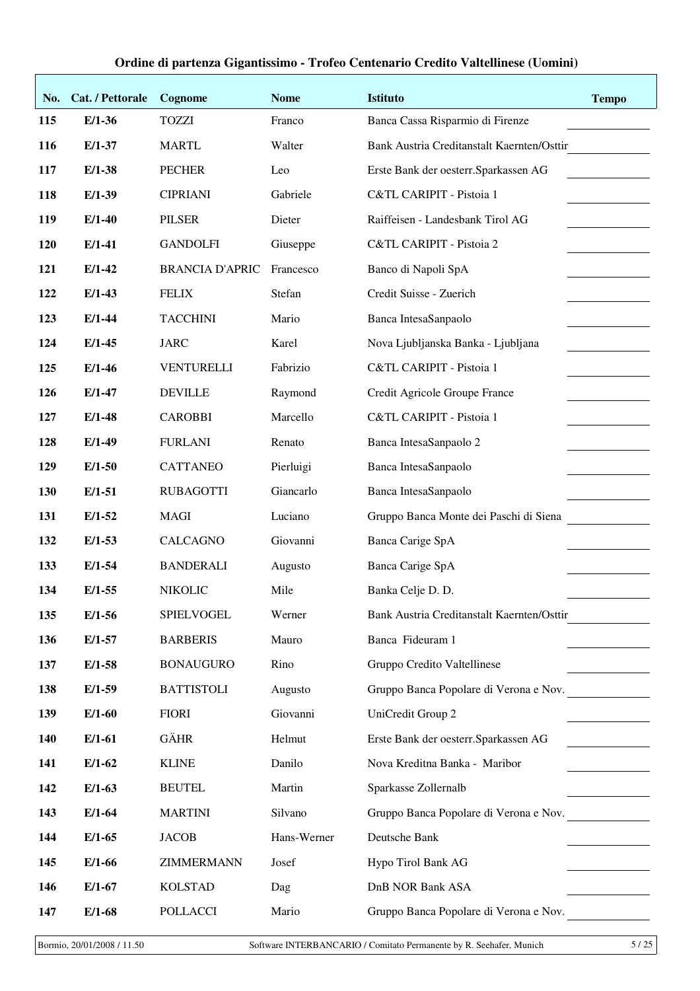| No. | Cat. / Pettorale | Cognome                | <b>Nome</b> | <b>Istituto</b>                            | <b>Tempo</b> |
|-----|------------------|------------------------|-------------|--------------------------------------------|--------------|
| 115 | $E/1-36$         | <b>TOZZI</b>           | Franco      | Banca Cassa Risparmio di Firenze           |              |
| 116 | $E/1-37$         | <b>MARTL</b>           | Walter      | Bank Austria Creditanstalt Kaernten/Osttir |              |
| 117 | $E/1-38$         | <b>PECHER</b>          | Leo         | Erste Bank der oesterr. Sparkassen AG      |              |
| 118 | $E/1-39$         | <b>CIPRIANI</b>        | Gabriele    | C&TL CARIPIT - Pistoia 1                   |              |
| 119 | $E/1-40$         | <b>PILSER</b>          | Dieter      | Raiffeisen - Landesbank Tirol AG           |              |
| 120 | $E/1-41$         | <b>GANDOLFI</b>        | Giuseppe    | C&TL CARIPIT - Pistoia 2                   |              |
| 121 | $E/1-42$         | <b>BRANCIA D'APRIC</b> | Francesco   | Banco di Napoli SpA                        |              |
| 122 | $E/1-43$         | <b>FELIX</b>           | Stefan      | Credit Suisse - Zuerich                    |              |
| 123 | $E/1-44$         | <b>TACCHINI</b>        | Mario       | Banca IntesaSanpaolo                       |              |
| 124 | $E/1-45$         | <b>JARC</b>            | Karel       | Nova Ljubljanska Banka - Ljubljana         |              |
| 125 | $E/1-46$         | <b>VENTURELLI</b>      | Fabrizio    | C&TL CARIPIT - Pistoia 1                   |              |
| 126 | $E/1-47$         | <b>DEVILLE</b>         | Raymond     | Credit Agricole Groupe France              |              |
| 127 | $E/1-48$         | <b>CAROBBI</b>         | Marcello    | C&TL CARIPIT - Pistoia 1                   |              |
| 128 | $E/1-49$         | <b>FURLANI</b>         | Renato      | Banca IntesaSanpaolo 2                     |              |
| 129 | $E/1-50$         | <b>CATTANEO</b>        | Pierluigi   | Banca IntesaSanpaolo                       |              |
| 130 | $E/1-51$         | <b>RUBAGOTTI</b>       | Giancarlo   | Banca IntesaSanpaolo                       |              |
| 131 | $E/1-52$         | <b>MAGI</b>            | Luciano     | Gruppo Banca Monte dei Paschi di Siena     |              |
| 132 | $E/1-53$         | <b>CALCAGNO</b>        | Giovanni    | Banca Carige SpA                           |              |
| 133 | $E/1-54$         | <b>BANDERALI</b>       | Augusto     | Banca Carige SpA                           |              |
| 134 | $E/1-55$         | <b>NIKOLIC</b>         | Mile        | Banka Celje D. D.                          |              |
| 135 | $E/1-56$         | SPIELVOGEL             | Werner      | Bank Austria Creditanstalt Kaernten/Osttir |              |
| 136 | $E/1-57$         | <b>BARBERIS</b>        | Mauro       | Banca Fideuram 1                           |              |
| 137 | $E/1-58$         | <b>BONAUGURO</b>       | Rino        | Gruppo Credito Valtellinese                |              |
| 138 | $E/1-59$         | <b>BATTISTOLI</b>      | Augusto     | Gruppo Banca Popolare di Verona e Nov.     |              |
| 139 | $E/1-60$         | <b>FIORI</b>           | Giovanni    | UniCredit Group 2                          |              |
| 140 | $E/1-61$         | <b>GÄHR</b>            | Helmut      | Erste Bank der oesterr. Sparkassen AG      |              |
| 141 | $E/1-62$         | <b>KLINE</b>           | Danilo      | Nova Kreditna Banka - Maribor              |              |
| 142 | $E/1-63$         | <b>BEUTEL</b>          | Martin      | Sparkasse Zollernalb                       |              |
| 143 | $E/1-64$         | <b>MARTINI</b>         | Silvano     | Gruppo Banca Popolare di Verona e Nov.     |              |
| 144 | $E/1-65$         | <b>JACOB</b>           | Hans-Werner | Deutsche Bank                              |              |
| 145 | $E/1-66$         | ZIMMERMANN             | Josef       | Hypo Tirol Bank AG                         |              |
| 146 | $E/1-67$         | <b>KOLSTAD</b>         | Dag         | DnB NOR Bank ASA                           |              |
| 147 | $E/1-68$         | <b>POLLACCI</b>        | Mario       | Gruppo Banca Popolare di Verona e Nov.     |              |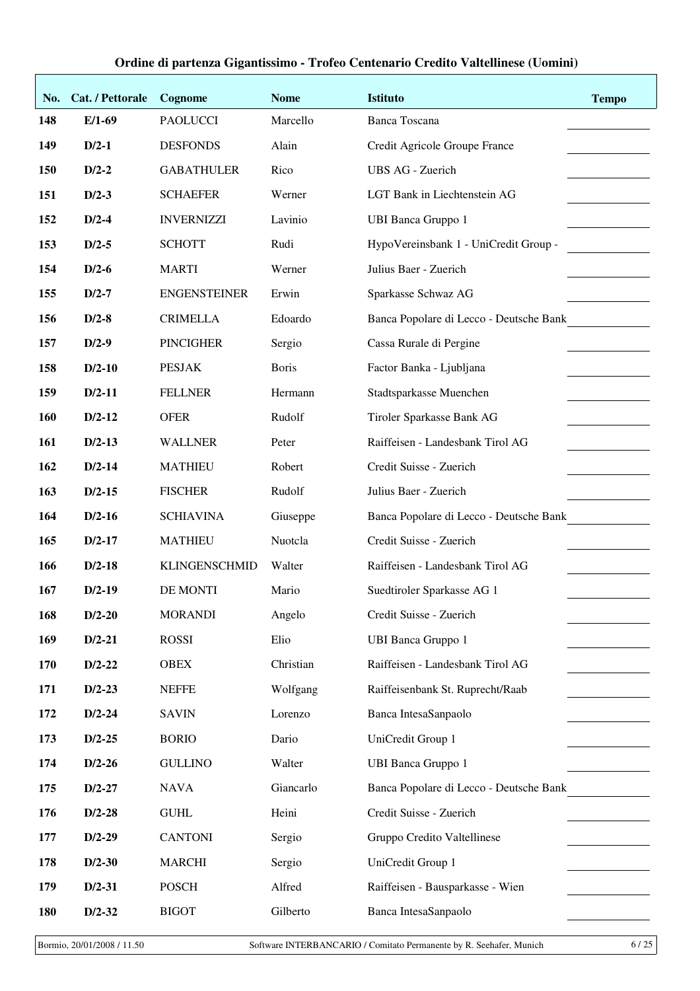| No. | Cat. / Pettorale | Cognome              | <b>Nome</b>  | <b>Istituto</b>                         | <b>Tempo</b> |
|-----|------------------|----------------------|--------------|-----------------------------------------|--------------|
| 148 | $E/1-69$         | <b>PAOLUCCI</b>      | Marcello     | <b>Banca Toscana</b>                    |              |
| 149 | $D/2-1$          | <b>DESFONDS</b>      | Alain        | Credit Agricole Groupe France           |              |
| 150 | $D/2-2$          | <b>GABATHULER</b>    | Rico         | UBS AG - Zuerich                        |              |
| 151 | $D/2-3$          | <b>SCHAEFER</b>      | Werner       | LGT Bank in Liechtenstein AG            |              |
| 152 | $D/2-4$          | <b>INVERNIZZI</b>    | Lavinio      | <b>UBI Banca Gruppo 1</b>               |              |
| 153 | $D/2-5$          | <b>SCHOTT</b>        | Rudi         | HypoVereinsbank 1 - UniCredit Group -   |              |
| 154 | $D/2-6$          | <b>MARTI</b>         | Werner       | Julius Baer - Zuerich                   |              |
| 155 | $D/2-7$          | <b>ENGENSTEINER</b>  | Erwin        | Sparkasse Schwaz AG                     |              |
| 156 | $D/2-8$          | <b>CRIMELLA</b>      | Edoardo      | Banca Popolare di Lecco - Deutsche Bank |              |
| 157 | $D/2-9$          | <b>PINCIGHER</b>     | Sergio       | Cassa Rurale di Pergine                 |              |
| 158 | $D/2-10$         | <b>PESJAK</b>        | <b>Boris</b> | Factor Banka - Ljubljana                |              |
| 159 | $D/2-11$         | <b>FELLNER</b>       | Hermann      | Stadtsparkasse Muenchen                 |              |
| 160 | $D/2-12$         | <b>OFER</b>          | Rudolf       | Tiroler Sparkasse Bank AG               |              |
| 161 | $D/2-13$         | <b>WALLNER</b>       | Peter        | Raiffeisen - Landesbank Tirol AG        |              |
| 162 | $D/2-14$         | <b>MATHIEU</b>       | Robert       | Credit Suisse - Zuerich                 |              |
| 163 | $D/2-15$         | <b>FISCHER</b>       | Rudolf       | Julius Baer - Zuerich                   |              |
| 164 | $D/2-16$         | <b>SCHIAVINA</b>     | Giuseppe     | Banca Popolare di Lecco - Deutsche Bank |              |
| 165 | $D/2-17$         | <b>MATHIEU</b>       | Nuotcla      | Credit Suisse - Zuerich                 |              |
| 166 | $D/2-18$         | <b>KLINGENSCHMID</b> | Walter       | Raiffeisen - Landesbank Tirol AG        |              |
| 167 | $D/2-19$         | DE MONTI             | Mario        | Suedtiroler Sparkasse AG 1              |              |
| 168 | $D/2-20$         | <b>MORANDI</b>       | Angelo       | Credit Suisse - Zuerich                 |              |
| 169 | $D/2-21$         | <b>ROSSI</b>         | Elio         | <b>UBI Banca Gruppo 1</b>               |              |
| 170 | $D/2-22$         | <b>OBEX</b>          | Christian    | Raiffeisen - Landesbank Tirol AG        |              |
| 171 | $D/2-23$         | <b>NEFFE</b>         | Wolfgang     | Raiffeisenbank St. Ruprecht/Raab        |              |
| 172 | $D/2-24$         | <b>SAVIN</b>         | Lorenzo      | Banca IntesaSanpaolo                    |              |
| 173 | $D/2-25$         | <b>BORIO</b>         | Dario        | UniCredit Group 1                       |              |
| 174 | $D/2-26$         | <b>GULLINO</b>       | Walter       | <b>UBI Banca Gruppo 1</b>               |              |
| 175 | $D/2-27$         | <b>NAVA</b>          | Giancarlo    | Banca Popolare di Lecco - Deutsche Bank |              |
| 176 | $D/2-28$         | <b>GUHL</b>          | Heini        | Credit Suisse - Zuerich                 |              |
| 177 | $D/2-29$         | <b>CANTONI</b>       | Sergio       | Gruppo Credito Valtellinese             |              |
| 178 | $D/2-30$         | <b>MARCHI</b>        | Sergio       | UniCredit Group 1                       |              |
| 179 | $D/2-31$         | <b>POSCH</b>         | Alfred       | Raiffeisen - Bausparkasse - Wien        |              |
| 180 | $D/2-32$         | <b>BIGOT</b>         | Gilberto     | Banca IntesaSanpaolo                    |              |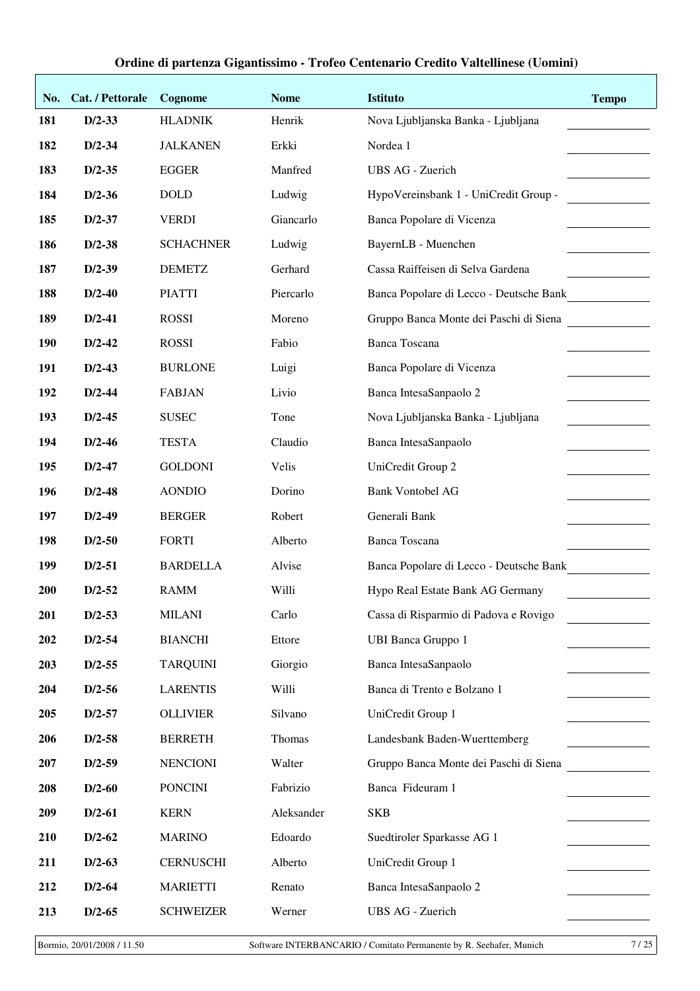| No.        | Cat. / Pettorale | Cognome          | <b>Nome</b> | <b>Istituto</b>                         | <b>Tempo</b> |
|------------|------------------|------------------|-------------|-----------------------------------------|--------------|
| 181        | $D/2 - 33$       | <b>HLADNIK</b>   | Henrik      | Nova Ljubljanska Banka - Ljubljana      |              |
| 182        | $D/2 - 34$       | <b>JALKANEN</b>  | Erkki       | Nordea 1                                |              |
| 183        | $D/2 - 35$       | <b>EGGER</b>     | Manfred     | <b>UBS AG - Zuerich</b>                 |              |
| 184        | $D/2-36$         | <b>DOLD</b>      | Ludwig      | HypoVereinsbank 1 - UniCredit Group -   |              |
| 185        | $D/2 - 37$       | <b>VERDI</b>     | Giancarlo   | Banca Popolare di Vicenza               |              |
| 186        | $D/2-38$         | <b>SCHACHNER</b> | Ludwig      | BayernLB - Muenchen                     |              |
| 187        | $D/2-39$         | <b>DEMETZ</b>    | Gerhard     | Cassa Raiffeisen di Selva Gardena       |              |
| 188        | $D/2-40$         | <b>PIATTI</b>    | Piercarlo   | Banca Popolare di Lecco - Deutsche Bank |              |
| 189        | $D/2-41$         | <b>ROSSI</b>     | Moreno      | Gruppo Banca Monte dei Paschi di Siena  |              |
| 190        | $D/2-42$         | <b>ROSSI</b>     | Fabio       | <b>Banca Toscana</b>                    |              |
| 191        | $D/2-43$         | <b>BURLONE</b>   | Luigi       | Banca Popolare di Vicenza               |              |
| 192        | $D/2-44$         | <b>FABJAN</b>    | Livio       | Banca IntesaSanpaolo 2                  |              |
| 193        | $D/2-45$         | <b>SUSEC</b>     | Tone        | Nova Ljubljanska Banka - Ljubljana      |              |
| 194        | $D/2-46$         | <b>TESTA</b>     | Claudio     | Banca IntesaSanpaolo                    |              |
| 195        | $D/2-47$         | <b>GOLDONI</b>   | Velis       | UniCredit Group 2                       |              |
| 196        | $D/2-48$         | <b>AONDIO</b>    | Dorino      | <b>Bank Vontobel AG</b>                 |              |
| 197        | $D/2-49$         | <b>BERGER</b>    | Robert      | Generali Bank                           |              |
| 198        | $D/2-50$         | <b>FORTI</b>     | Alberto     | <b>Banca Toscana</b>                    |              |
| 199        | $D/2-51$         | <b>BARDELLA</b>  | Alvise      | Banca Popolare di Lecco - Deutsche Bank |              |
| <b>200</b> | $D/2-52$         | <b>RAMM</b>      | Willi       | Hypo Real Estate Bank AG Germany        |              |
| 201        | $D/2 - 53$       | <b>MILANI</b>    | Carlo       | Cassa di Risparmio di Padova e Rovigo   |              |
| 202        | $D/2-54$         | <b>BIANCHI</b>   | Ettore      | <b>UBI Banca Gruppo 1</b>               |              |
| 203        | $D/2 - 55$       | <b>TARQUINI</b>  | Giorgio     | Banca IntesaSanpaolo                    |              |
| 204        | $D/2-56$         | <b>LARENTIS</b>  | Willi       | Banca di Trento e Bolzano 1             |              |
| 205        | $D/2-57$         | <b>OLLIVIER</b>  | Silvano     | UniCredit Group 1                       |              |
| 206        | $D/2-58$         | <b>BERRETH</b>   | Thomas      | Landesbank Baden-Wuerttemberg           |              |
| 207        | $D/2-59$         | <b>NENCIONI</b>  | Walter      | Gruppo Banca Monte dei Paschi di Siena  |              |
| 208        | $D/2-60$         | <b>PONCINI</b>   | Fabrizio    | Banca Fideuram 1                        |              |
| 209        | $D/2-61$         | <b>KERN</b>      | Aleksander  | <b>SKB</b>                              |              |
| 210        | $D/2-62$         | <b>MARINO</b>    | Edoardo     | Suedtiroler Sparkasse AG 1              |              |
| 211        | $D/2-63$         | <b>CERNUSCHI</b> | Alberto     | UniCredit Group 1                       |              |
| 212        | $D/2-64$         | <b>MARIETTI</b>  | Renato      | Banca IntesaSanpaolo 2                  |              |
| 213        | $D/2-65$         | <b>SCHWEIZER</b> | Werner      | UBS AG - Zuerich                        |              |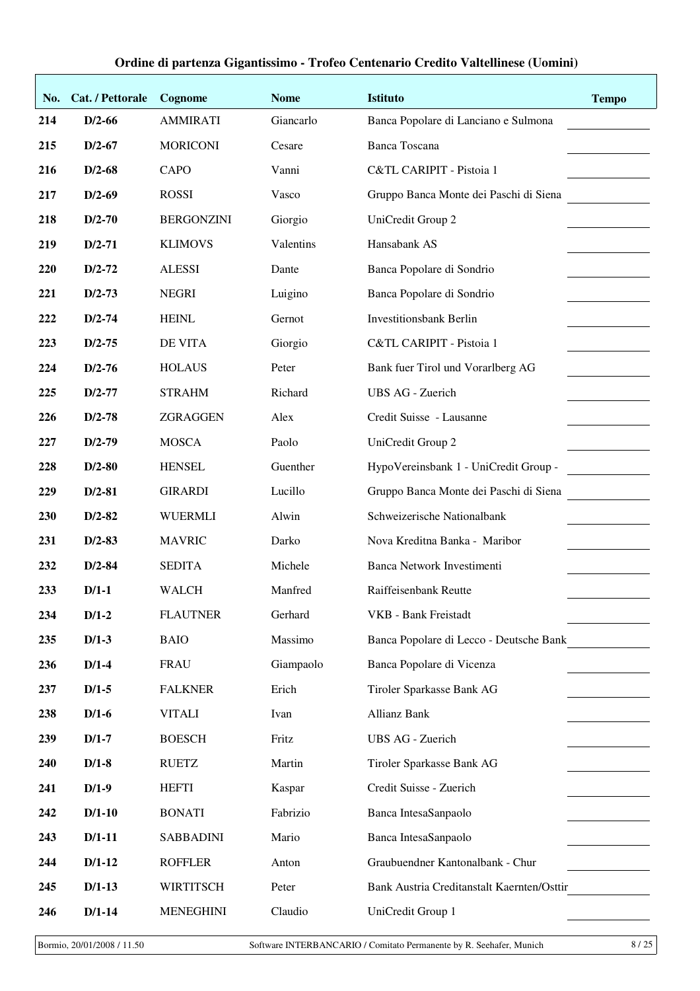| No. | Cat. / Pettorale | Cognome           | <b>Nome</b> | <b>Istituto</b>                            | <b>Tempo</b> |
|-----|------------------|-------------------|-------------|--------------------------------------------|--------------|
| 214 | $D/2-66$         | <b>AMMIRATI</b>   | Giancarlo   | Banca Popolare di Lanciano e Sulmona       |              |
| 215 | $D/2-67$         | <b>MORICONI</b>   | Cesare      | <b>Banca Toscana</b>                       |              |
| 216 | $D/2-68$         | CAPO              | Vanni       | C&TL CARIPIT - Pistoia 1                   |              |
| 217 | $D/2-69$         | <b>ROSSI</b>      | Vasco       | Gruppo Banca Monte dei Paschi di Siena     |              |
| 218 | $D/2-70$         | <b>BERGONZINI</b> | Giorgio     | UniCredit Group 2                          |              |
| 219 | $D/2 - 71$       | <b>KLIMOVS</b>    | Valentins   | Hansabank AS                               |              |
| 220 | $D/2-72$         | <b>ALESSI</b>     | Dante       | Banca Popolare di Sondrio                  |              |
| 221 | $D/2-73$         | <b>NEGRI</b>      | Luigino     | Banca Popolare di Sondrio                  |              |
| 222 | $D/2 - 74$       | <b>HEINL</b>      | Gernot      | <b>Investitionsbank Berlin</b>             |              |
| 223 | $D/2 - 75$       | DE VITA           | Giorgio     | C&TL CARIPIT - Pistoia 1                   |              |
| 224 | $D/2-76$         | <b>HOLAUS</b>     | Peter       | Bank fuer Tirol und Vorarlberg AG          |              |
| 225 | $D/2 - 77$       | <b>STRAHM</b>     | Richard     | <b>UBS AG - Zuerich</b>                    |              |
| 226 | $D/2-78$         | ZGRAGGEN          | Alex        | Credit Suisse - Lausanne                   |              |
| 227 | $D/2-79$         | <b>MOSCA</b>      | Paolo       | UniCredit Group 2                          |              |
| 228 | $D/2-80$         | <b>HENSEL</b>     | Guenther    | HypoVereinsbank 1 - UniCredit Group -      |              |
| 229 | $D/2-81$         | <b>GIRARDI</b>    | Lucillo     | Gruppo Banca Monte dei Paschi di Siena     |              |
| 230 | $D/2-82$         | <b>WUERMLI</b>    | Alwin       | Schweizerische Nationalbank                |              |
| 231 | $D/2-83$         | <b>MAVRIC</b>     | Darko       | Nova Kreditna Banka - Maribor              |              |
| 232 | $D/2 - 84$       | <b>SEDITA</b>     | Michele     | Banca Network Investimenti                 |              |
| 233 | $D/1-1$          | <b>WALCH</b>      | Manfred     | Raiffeisenbank Reutte                      |              |
| 234 | $D/1-2$          | <b>FLAUTNER</b>   | Gerhard     | VKB - Bank Freistadt                       |              |
| 235 | $D/1-3$          | <b>BAIO</b>       | Massimo     | Banca Popolare di Lecco - Deutsche Bank    |              |
| 236 | $D/1-4$          | <b>FRAU</b>       | Giampaolo   | Banca Popolare di Vicenza                  |              |
| 237 | $D/1-5$          | <b>FALKNER</b>    | Erich       | Tiroler Sparkasse Bank AG                  |              |
| 238 | $D/1-6$          | <b>VITALI</b>     | Ivan        | <b>Allianz Bank</b>                        |              |
| 239 | $D/1-7$          | <b>BOESCH</b>     | Fritz       | <b>UBS AG - Zuerich</b>                    |              |
| 240 | $D/1-8$          | <b>RUETZ</b>      | Martin      | Tiroler Sparkasse Bank AG                  |              |
| 241 | $D/1-9$          | <b>HEFTI</b>      | Kaspar      | Credit Suisse - Zuerich                    |              |
| 242 | $D/1-10$         | <b>BONATI</b>     | Fabrizio    | Banca IntesaSanpaolo                       |              |
| 243 | $D/1-11$         | <b>SABBADINI</b>  | Mario       | Banca IntesaSanpaolo                       |              |
| 244 | $D/1-12$         | <b>ROFFLER</b>    | Anton       | Graubuendner Kantonalbank - Chur           |              |
| 245 | $D/1-13$         | <b>WIRTITSCH</b>  | Peter       | Bank Austria Creditanstalt Kaernten/Osttir |              |
| 246 | $D/1-14$         | <b>MENEGHINI</b>  | Claudio     | UniCredit Group 1                          |              |

Bormio, 20/01/2008 / 11.50 Software INTERBANCARIO / Comitato Permanente by R. Seehafer, Munich 8 / 25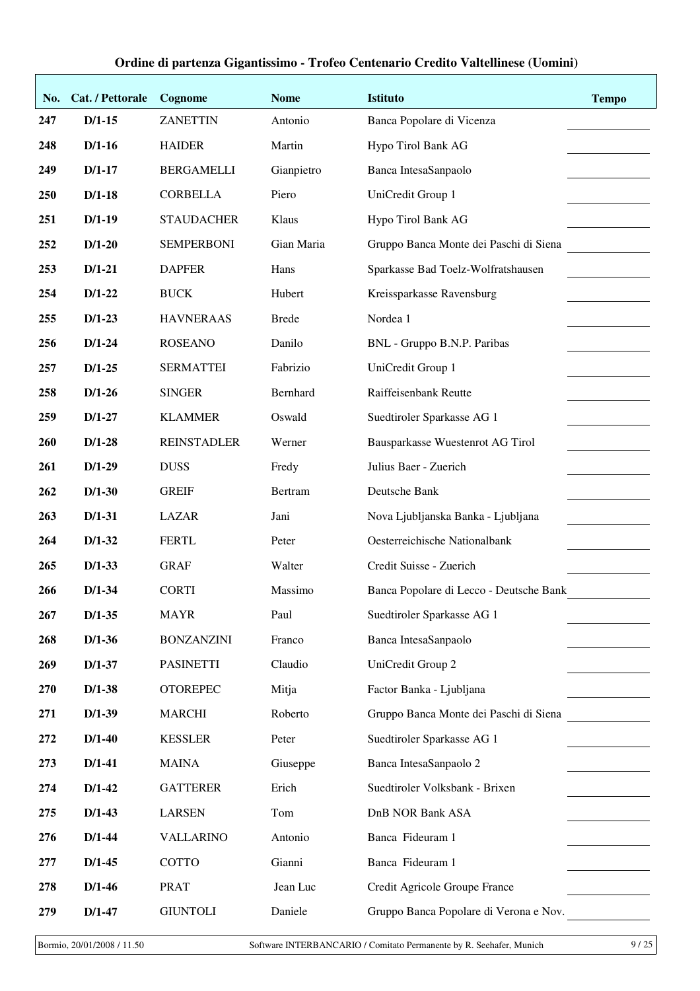| No. | Cat. / Pettorale | Cognome            | <b>Nome</b>  | <b>Istituto</b>                         | <b>Tempo</b> |
|-----|------------------|--------------------|--------------|-----------------------------------------|--------------|
| 247 | $D/1-15$         | <b>ZANETTIN</b>    | Antonio      | Banca Popolare di Vicenza               |              |
| 248 | $D/1-16$         | <b>HAIDER</b>      | Martin       | Hypo Tirol Bank AG                      |              |
| 249 | $D/1-17$         | <b>BERGAMELLI</b>  | Gianpietro   | Banca IntesaSanpaolo                    |              |
| 250 | $D/1-18$         | <b>CORBELLA</b>    | Piero        | UniCredit Group 1                       |              |
| 251 | $D/1-19$         | <b>STAUDACHER</b>  | Klaus        | Hypo Tirol Bank AG                      |              |
| 252 | $D/1-20$         | <b>SEMPERBONI</b>  | Gian Maria   | Gruppo Banca Monte dei Paschi di Siena  |              |
| 253 | $D/1-21$         | <b>DAPFER</b>      | Hans         | Sparkasse Bad Toelz-Wolfratshausen      |              |
| 254 | $D/1-22$         | <b>BUCK</b>        | Hubert       | Kreissparkasse Ravensburg               |              |
| 255 | $D/1-23$         | <b>HAVNERAAS</b>   | <b>Brede</b> | Nordea 1                                |              |
| 256 | $D/1-24$         | <b>ROSEANO</b>     | Danilo       | BNL - Gruppo B.N.P. Paribas             |              |
| 257 | $D/1-25$         | <b>SERMATTEI</b>   | Fabrizio     | UniCredit Group 1                       |              |
| 258 | $D/1-26$         | <b>SINGER</b>      | Bernhard     | Raiffeisenbank Reutte                   |              |
| 259 | $D/1-27$         | <b>KLAMMER</b>     | Oswald       | Suedtiroler Sparkasse AG 1              |              |
| 260 | $D/1-28$         | <b>REINSTADLER</b> | Werner       | Bausparkasse Wuestenrot AG Tirol        |              |
| 261 | $D/1-29$         | <b>DUSS</b>        | Fredy        | Julius Baer - Zuerich                   |              |
| 262 | $D/1-30$         | <b>GREIF</b>       | Bertram      | Deutsche Bank                           |              |
| 263 | $D/1-31$         | <b>LAZAR</b>       | Jani         | Nova Ljubljanska Banka - Ljubljana      |              |
| 264 | $D/1-32$         | <b>FERTL</b>       | Peter        | Oesterreichische Nationalbank           |              |
| 265 | $D/1-33$         | <b>GRAF</b>        | Walter       | Credit Suisse - Zuerich                 |              |
| 266 | $D/1-34$         | <b>CORTI</b>       | Massimo      | Banca Popolare di Lecco - Deutsche Bank |              |
| 267 | $D/1-35$         | <b>MAYR</b>        | Paul         | Suedtiroler Sparkasse AG 1              |              |
| 268 | $D/1-36$         | <b>BONZANZINI</b>  | Franco       | Banca IntesaSanpaolo                    |              |
| 269 | $D/1-37$         | <b>PASINETTI</b>   | Claudio      | UniCredit Group 2                       |              |
| 270 | $D/1-38$         | <b>OTOREPEC</b>    | Mitja        | Factor Banka - Ljubljana                |              |
| 271 | $D/1-39$         | <b>MARCHI</b>      | Roberto      | Gruppo Banca Monte dei Paschi di Siena  |              |
| 272 | $D/1-40$         | <b>KESSLER</b>     | Peter        | Suedtiroler Sparkasse AG 1              |              |
| 273 | $D/1-41$         | <b>MAINA</b>       | Giuseppe     | Banca IntesaSanpaolo 2                  |              |
| 274 | $D/1-42$         | <b>GATTERER</b>    | Erich        | Suedtiroler Volksbank - Brixen          |              |
| 275 | $D/1-43$         | <b>LARSEN</b>      | Tom          | DnB NOR Bank ASA                        |              |
| 276 | $D/1-44$         | <b>VALLARINO</b>   | Antonio      | Banca Fideuram 1                        |              |
| 277 | $D/1-45$         | COTTO              | Gianni       | Banca Fideuram 1                        |              |
| 278 | $D/1-46$         | <b>PRAT</b>        | Jean Luc     | Credit Agricole Groupe France           |              |
| 279 | $D/1-47$         | <b>GIUNTOLI</b>    | Daniele      | Gruppo Banca Popolare di Verona e Nov.  |              |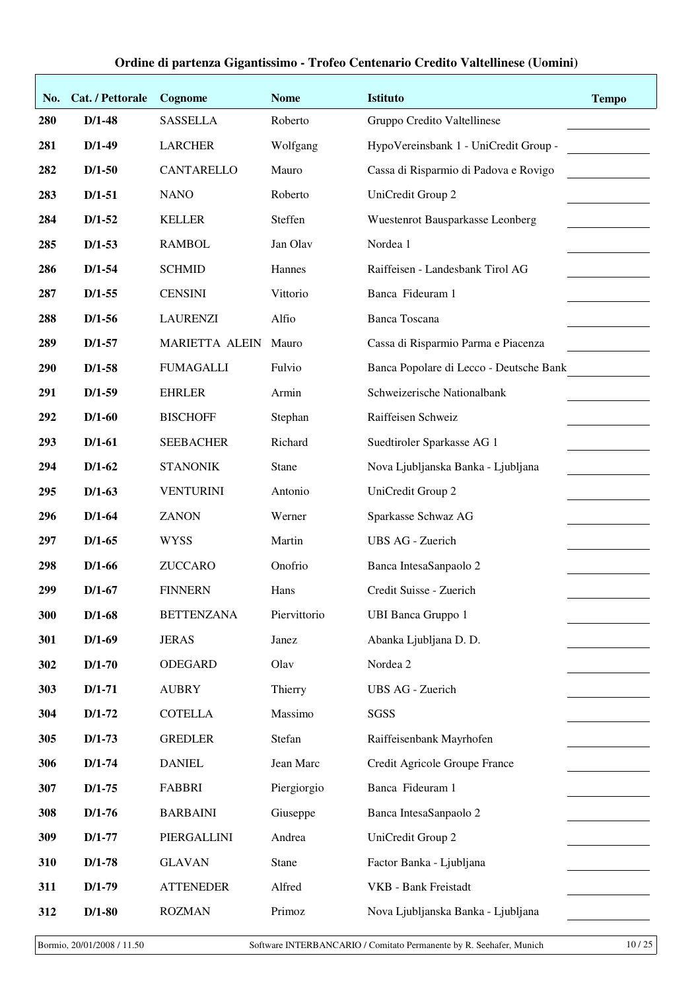| No. | Cat. / Pettorale | Cognome               | <b>Nome</b>  | <b>Istituto</b>                         | <b>Tempo</b> |
|-----|------------------|-----------------------|--------------|-----------------------------------------|--------------|
| 280 | $D/1-48$         | <b>SASSELLA</b>       | Roberto      | Gruppo Credito Valtellinese             |              |
| 281 | $D/1-49$         | <b>LARCHER</b>        | Wolfgang     | HypoVereinsbank 1 - UniCredit Group -   |              |
| 282 | $D/1-50$         | CANTARELLO            | Mauro        | Cassa di Risparmio di Padova e Rovigo   |              |
| 283 | $D/1-51$         | <b>NANO</b>           | Roberto      | UniCredit Group 2                       |              |
| 284 | $D/1-52$         | <b>KELLER</b>         | Steffen      | Wuestenrot Bausparkasse Leonberg        |              |
| 285 | $D/1-53$         | <b>RAMBOL</b>         | Jan Olav     | Nordea 1                                |              |
| 286 | $D/1-54$         | <b>SCHMID</b>         | Hannes       | Raiffeisen - Landesbank Tirol AG        |              |
| 287 | $D/1-55$         | <b>CENSINI</b>        | Vittorio     | Banca Fideuram 1                        |              |
| 288 | $D/1-56$         | <b>LAURENZI</b>       | Alfio        | <b>Banca Toscana</b>                    |              |
| 289 | $D/1-57$         | <b>MARIETTA ALEIN</b> | Mauro        | Cassa di Risparmio Parma e Piacenza     |              |
| 290 | $D/1-58$         | <b>FUMAGALLI</b>      | Fulvio       | Banca Popolare di Lecco - Deutsche Bank |              |
| 291 | $D/1-59$         | <b>EHRLER</b>         | Armin        | Schweizerische Nationalbank             |              |
| 292 | $D/1-60$         | <b>BISCHOFF</b>       | Stephan      | Raiffeisen Schweiz                      |              |
| 293 | $D/1-61$         | <b>SEEBACHER</b>      | Richard      | Suedtiroler Sparkasse AG 1              |              |
| 294 | $D/1-62$         | <b>STANONIK</b>       | <b>Stane</b> | Nova Ljubljanska Banka - Ljubljana      |              |
| 295 | $D/1-63$         | <b>VENTURINI</b>      | Antonio      | UniCredit Group 2                       |              |
| 296 | $D/1-64$         | <b>ZANON</b>          | Werner       | Sparkasse Schwaz AG                     |              |
| 297 | $D/1-65$         | <b>WYSS</b>           | Martin       | <b>UBS AG - Zuerich</b>                 |              |
| 298 | $D/1-66$         | <b>ZUCCARO</b>        | Onofrio      | Banca IntesaSanpaolo 2                  |              |
| 299 | $D/1-67$         | <b>FINNERN</b>        | Hans         | Credit Suisse - Zuerich                 |              |
| 300 | $D/1-68$         | <b>BETTENZANA</b>     | Piervittorio | <b>UBI Banca Gruppo 1</b>               |              |
| 301 | $D/1-69$         | <b>JERAS</b>          | Janez        | Abanka Ljubljana D. D.                  |              |
| 302 | $D/1-70$         | <b>ODEGARD</b>        | Olav         | Nordea 2                                |              |
| 303 | $D/1-71$         | <b>AUBRY</b>          | Thierry      | <b>UBS AG - Zuerich</b>                 |              |
| 304 | $D/1-72$         | <b>COTELLA</b>        | Massimo      | SGSS                                    |              |
| 305 | $D/1-73$         | <b>GREDLER</b>        | Stefan       | Raiffeisenbank Mayrhofen                |              |
| 306 | $D/1-74$         | <b>DANIEL</b>         | Jean Marc    | Credit Agricole Groupe France           |              |
| 307 | $D/1-75$         | <b>FABBRI</b>         | Piergiorgio  | Banca Fideuram 1                        |              |
| 308 | $D/1-76$         | <b>BARBAINI</b>       | Giuseppe     | Banca IntesaSanpaolo 2                  |              |
| 309 | $D/1-77$         | PIERGALLINI           | Andrea       | UniCredit Group 2                       |              |
| 310 | $D/1-78$         | <b>GLAVAN</b>         | Stane        | Factor Banka - Ljubljana                |              |
| 311 | $D/1-79$         | <b>ATTENEDER</b>      | Alfred       | VKB - Bank Freistadt                    |              |
| 312 | $D/1-80$         | <b>ROZMAN</b>         | Primoz       | Nova Ljubljanska Banka - Ljubljana      |              |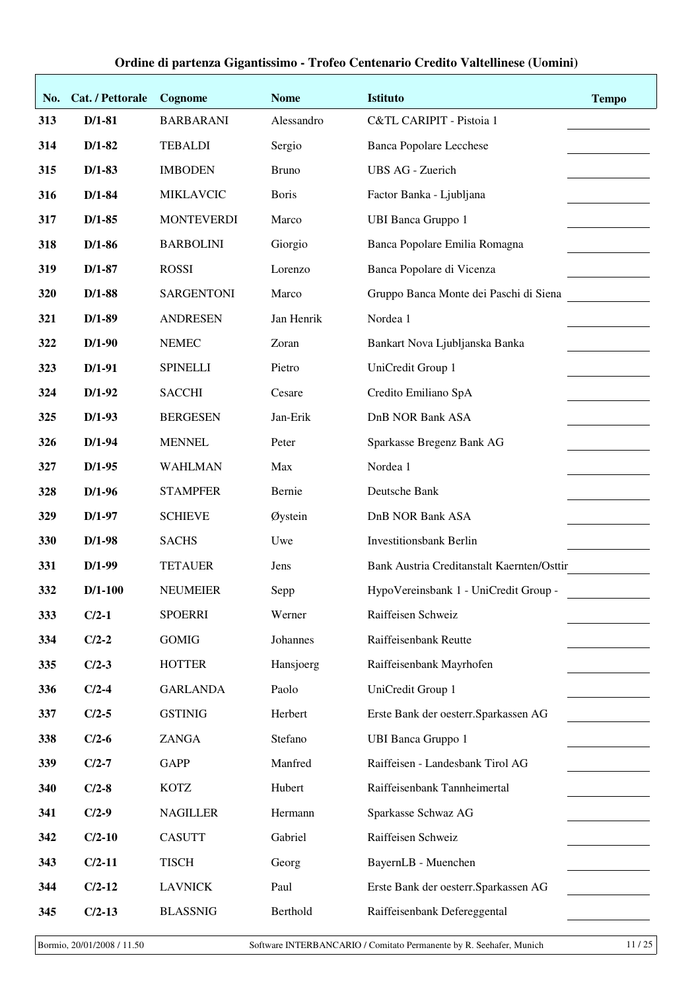| No. | Cat. / Pettorale | Cognome           | <b>Nome</b>  | <b>Istituto</b>                            | <b>Tempo</b> |
|-----|------------------|-------------------|--------------|--------------------------------------------|--------------|
| 313 | $D/1-81$         | <b>BARBARANI</b>  | Alessandro   | C&TL CARIPIT - Pistoia 1                   |              |
| 314 | $D/1-82$         | <b>TEBALDI</b>    | Sergio       | <b>Banca Popolare Lecchese</b>             |              |
| 315 | $D/1-83$         | <b>IMBODEN</b>    | <b>Bruno</b> | UBS AG - Zuerich                           |              |
| 316 | $D/1-84$         | <b>MIKLAVCIC</b>  | <b>Boris</b> | Factor Banka - Ljubljana                   |              |
| 317 | $D/1-85$         | <b>MONTEVERDI</b> | Marco        | <b>UBI Banca Gruppo 1</b>                  |              |
| 318 | $D/1-86$         | <b>BARBOLINI</b>  | Giorgio      | Banca Popolare Emilia Romagna              |              |
| 319 | $D/1-87$         | <b>ROSSI</b>      | Lorenzo      | Banca Popolare di Vicenza                  |              |
| 320 | $D/1-88$         | <b>SARGENTONI</b> | Marco        | Gruppo Banca Monte dei Paschi di Siena     |              |
| 321 | $D/1-89$         | <b>ANDRESEN</b>   | Jan Henrik   | Nordea 1                                   |              |
| 322 | $D/1-90$         | <b>NEMEC</b>      | Zoran        | Bankart Nova Ljubljanska Banka             |              |
| 323 | $D/1-91$         | <b>SPINELLI</b>   | Pietro       | UniCredit Group 1                          |              |
| 324 | $D/1-92$         | <b>SACCHI</b>     | Cesare       | Credito Emiliano SpA                       |              |
| 325 | $D/1-93$         | <b>BERGESEN</b>   | Jan-Erik     | <b>DnB NOR Bank ASA</b>                    |              |
| 326 | $D/1-94$         | <b>MENNEL</b>     | Peter        | Sparkasse Bregenz Bank AG                  |              |
| 327 | $D/1-95$         | <b>WAHLMAN</b>    | Max          | Nordea 1                                   |              |
| 328 | $D/1-96$         | <b>STAMPFER</b>   | Bernie       | Deutsche Bank                              |              |
| 329 | $D/1-97$         | <b>SCHIEVE</b>    | Øystein      | <b>DnB NOR Bank ASA</b>                    |              |
| 330 | $D/1-98$         | <b>SACHS</b>      | Uwe          | <b>Investitionsbank Berlin</b>             |              |
| 331 | $D/1-99$         | <b>TETAUER</b>    | Jens         | Bank Austria Creditanstalt Kaernten/Osttir |              |
| 332 | $D/1-100$        | <b>NEUMEIER</b>   | Sepp         | HypoVereinsbank 1 - UniCredit Group -      |              |
| 333 | $C/2-1$          | <b>SPOERRI</b>    | Werner       | Raiffeisen Schweiz                         |              |
| 334 | $C/2-2$          | <b>GOMIG</b>      | Johannes     | Raiffeisenbank Reutte                      |              |
| 335 | $C/2-3$          | <b>HOTTER</b>     | Hansjoerg    | Raiffeisenbank Mayrhofen                   |              |
| 336 | $C/2-4$          | <b>GARLANDA</b>   | Paolo        | UniCredit Group 1                          |              |
| 337 | $C/2-5$          | <b>GSTINIG</b>    | Herbert      | Erste Bank der oesterr. Sparkassen AG      |              |
| 338 | $C/2-6$          | ZANGA             | Stefano      | <b>UBI Banca Gruppo 1</b>                  |              |
| 339 | $C/2-7$          | <b>GAPP</b>       | Manfred      | Raiffeisen - Landesbank Tirol AG           |              |
| 340 | $C/2-8$          | <b>KOTZ</b>       | Hubert       | Raiffeisenbank Tannheimertal               |              |
| 341 | $C/2-9$          | <b>NAGILLER</b>   | Hermann      | Sparkasse Schwaz AG                        |              |
| 342 | $C/2-10$         | <b>CASUTT</b>     | Gabriel      | Raiffeisen Schweiz                         |              |
| 343 | $C/2-11$         | <b>TISCH</b>      | Georg        | BayernLB - Muenchen                        |              |
| 344 | $C/2-12$         | <b>LAVNICK</b>    | Paul         | Erste Bank der oesterr. Sparkassen AG      |              |
| 345 | $C/2-13$         | <b>BLASSNIG</b>   | Berthold     | Raiffeisenbank Defereggental               |              |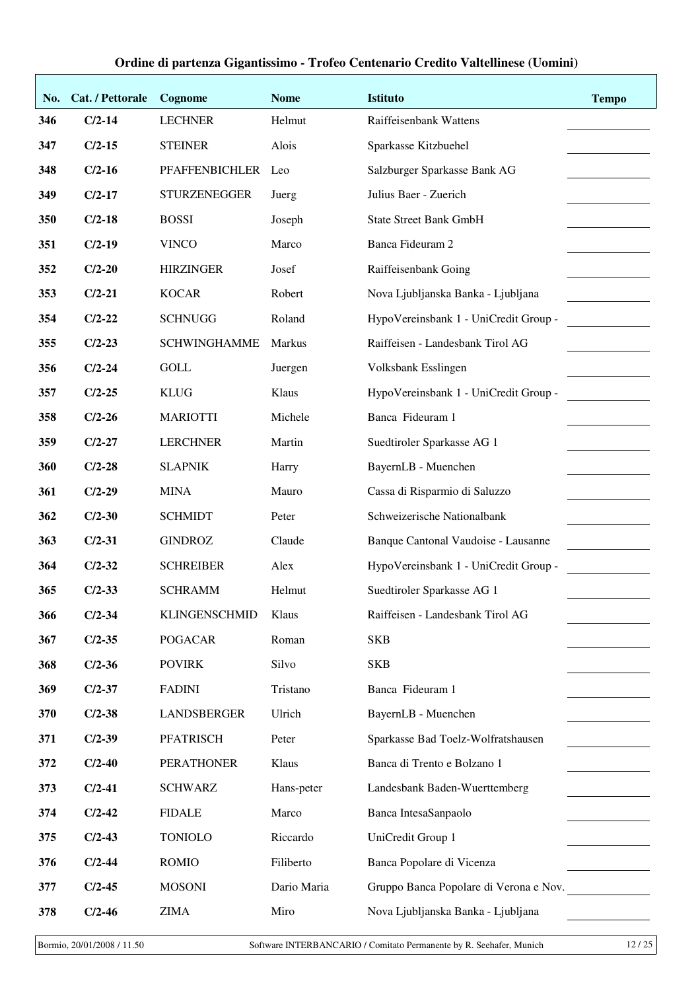| No. | Cat. / Pettorale | Cognome              | <b>Nome</b> | <b>Istituto</b>                        | <b>Tempo</b> |
|-----|------------------|----------------------|-------------|----------------------------------------|--------------|
| 346 | $C/2-14$         | <b>LECHNER</b>       | Helmut      | Raiffeisenbank Wattens                 |              |
| 347 | $C/2-15$         | <b>STEINER</b>       | Alois       | Sparkasse Kitzbuehel                   |              |
| 348 | $C/2-16$         | PFAFFENBICHLER       | Leo         | Salzburger Sparkasse Bank AG           |              |
| 349 | $C/2-17$         | <b>STURZENEGGER</b>  | Juerg       | Julius Baer - Zuerich                  |              |
| 350 | $C/2-18$         | <b>BOSSI</b>         | Joseph      | <b>State Street Bank GmbH</b>          |              |
| 351 | $C/2-19$         | <b>VINCO</b>         | Marco       | Banca Fideuram 2                       |              |
| 352 | $C/2-20$         | <b>HIRZINGER</b>     | Josef       | Raiffeisenbank Going                   |              |
| 353 | $C/2-21$         | <b>KOCAR</b>         | Robert      | Nova Ljubljanska Banka - Ljubljana     |              |
| 354 | $C/2-22$         | <b>SCHNUGG</b>       | Roland      | HypoVereinsbank 1 - UniCredit Group -  |              |
| 355 | $C/2-23$         | <b>SCHWINGHAMME</b>  | Markus      | Raiffeisen - Landesbank Tirol AG       |              |
| 356 | $C/2-24$         | <b>GOLL</b>          | Juergen     | Volksbank Esslingen                    |              |
| 357 | $C/2-25$         | <b>KLUG</b>          | Klaus       | HypoVereinsbank 1 - UniCredit Group -  |              |
| 358 | $C/2-26$         | <b>MARIOTTI</b>      | Michele     | Banca Fideuram 1                       |              |
| 359 | $C/2-27$         | <b>LERCHNER</b>      | Martin      | Suedtiroler Sparkasse AG 1             |              |
| 360 | $C/2-28$         | <b>SLAPNIK</b>       | Harry       | BayernLB - Muenchen                    |              |
| 361 | $C/2-29$         | <b>MINA</b>          | Mauro       | Cassa di Risparmio di Saluzzo          |              |
| 362 | $C/2-30$         | <b>SCHMIDT</b>       | Peter       | Schweizerische Nationalbank            |              |
| 363 | $C/2-31$         | <b>GINDROZ</b>       | Claude      | Banque Cantonal Vaudoise - Lausanne    |              |
| 364 | $C/2-32$         | <b>SCHREIBER</b>     | Alex        | HypoVereinsbank 1 - UniCredit Group -  |              |
| 365 | $C/2 - 33$       | <b>SCHRAMM</b>       | Helmut      | Suedtiroler Sparkasse AG 1             |              |
| 366 | $C/2-34$         | <b>KLINGENSCHMID</b> | Klaus       | Raiffeisen - Landesbank Tirol AG       |              |
| 367 | $C/2-35$         | <b>POGACAR</b>       | Roman       | <b>SKB</b>                             |              |
| 368 | $C/2-36$         | <b>POVIRK</b>        | Silvo       | <b>SKB</b>                             |              |
| 369 | $C/2-37$         | <b>FADINI</b>        | Tristano    | Banca Fideuram 1                       |              |
| 370 | $C/2-38$         | LANDSBERGER          | Ulrich      | BayernLB - Muenchen                    |              |
| 371 | $C/2-39$         | <b>PFATRISCH</b>     | Peter       | Sparkasse Bad Toelz-Wolfratshausen     |              |
| 372 | $C/2-40$         | <b>PERATHONER</b>    | Klaus       | Banca di Trento e Bolzano 1            |              |
| 373 | $C/2-41$         | <b>SCHWARZ</b>       | Hans-peter  | Landesbank Baden-Wuerttemberg          |              |
| 374 | $C/2-42$         | <b>FIDALE</b>        | Marco       | Banca IntesaSanpaolo                   |              |
| 375 | $C/2-43$         | <b>TONIOLO</b>       | Riccardo    | UniCredit Group 1                      |              |
| 376 | $C/2-44$         | <b>ROMIO</b>         | Filiberto   | Banca Popolare di Vicenza              |              |
| 377 | $C/2-45$         | <b>MOSONI</b>        | Dario Maria | Gruppo Banca Popolare di Verona e Nov. |              |
| 378 | $C/2-46$         | <b>ZIMA</b>          | Miro        | Nova Ljubljanska Banka - Ljubljana     |              |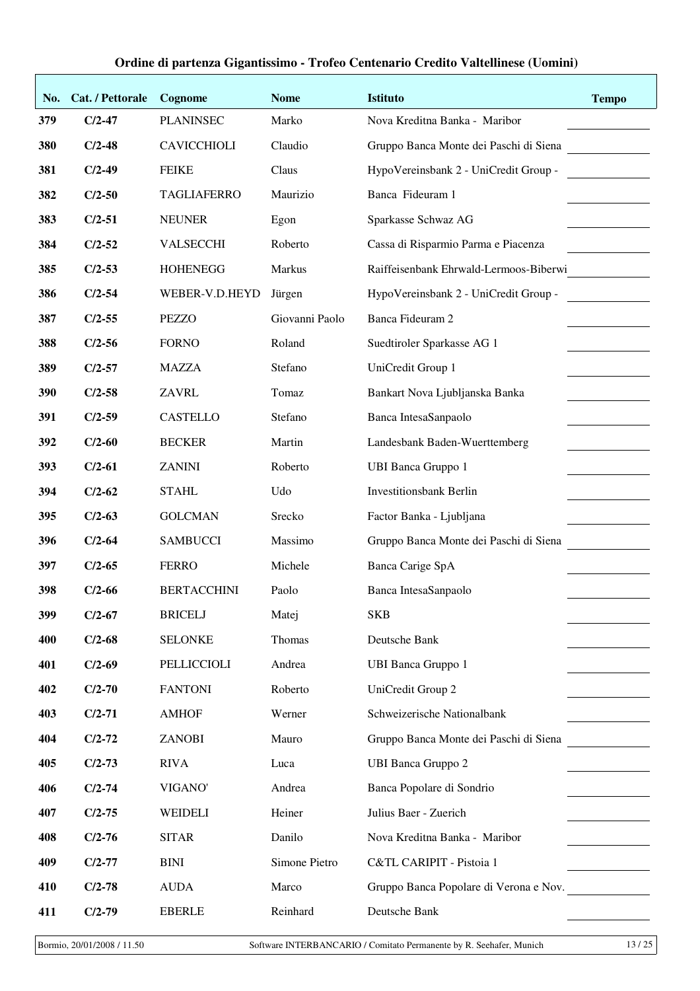| No. | Cat. / Pettorale | Cognome            | <b>Nome</b>    | <b>Istituto</b>                        | <b>Tempo</b> |
|-----|------------------|--------------------|----------------|----------------------------------------|--------------|
| 379 | $C/2-47$         | <b>PLANINSEC</b>   | Marko          | Nova Kreditna Banka - Maribor          |              |
| 380 | $C/2-48$         | <b>CAVICCHIOLI</b> | Claudio        | Gruppo Banca Monte dei Paschi di Siena |              |
| 381 | $C/2-49$         | <b>FEIKE</b>       | Claus          | HypoVereinsbank 2 - UniCredit Group -  |              |
| 382 | $C/2-50$         | <b>TAGLIAFERRO</b> | Maurizio       | Banca Fideuram 1                       |              |
| 383 | $C/2-51$         | <b>NEUNER</b>      | Egon           | Sparkasse Schwaz AG                    |              |
| 384 | $C/2-52$         | <b>VALSECCHI</b>   | Roberto        | Cassa di Risparmio Parma e Piacenza    |              |
| 385 | $C/2-53$         | <b>HOHENEGG</b>    | Markus         | Raiffeisenbank Ehrwald-Lermoos-Biberwi |              |
| 386 | $C/2-54$         | WEBER-V.D.HEYD     | Jürgen         | HypoVereinsbank 2 - UniCredit Group -  |              |
| 387 | $C/2-55$         | <b>PEZZO</b>       | Giovanni Paolo | Banca Fideuram 2                       |              |
| 388 | $C/2-56$         | <b>FORNO</b>       | Roland         | Suedtiroler Sparkasse AG 1             |              |
| 389 | $C/2-57$         | <b>MAZZA</b>       | Stefano        | UniCredit Group 1                      |              |
| 390 | $C/2-58$         | <b>ZAVRL</b>       | Tomaz          | Bankart Nova Ljubljanska Banka         |              |
| 391 | $C/2-59$         | <b>CASTELLO</b>    | Stefano        | Banca IntesaSanpaolo                   |              |
| 392 | $C/2-60$         | <b>BECKER</b>      | Martin         | Landesbank Baden-Wuerttemberg          |              |
| 393 | $C/2-61$         | <b>ZANINI</b>      | Roberto        | <b>UBI Banca Gruppo 1</b>              |              |
| 394 | $C/2-62$         | <b>STAHL</b>       | Udo            | <b>Investitionsbank Berlin</b>         |              |
| 395 | $C/2-63$         | <b>GOLCMAN</b>     | Srecko         | Factor Banka - Ljubljana               |              |
| 396 | $C/2-64$         | <b>SAMBUCCI</b>    | Massimo        | Gruppo Banca Monte dei Paschi di Siena |              |
| 397 | $C/2-65$         | <b>FERRO</b>       | Michele        | Banca Carige SpA                       |              |
| 398 | $C/2-66$         | <b>BERTACCHINI</b> | Paolo          | Banca IntesaSanpaolo                   |              |
| 399 | $C/2-67$         | <b>BRICELJ</b>     | Matej          | <b>SKB</b>                             |              |
| 400 | $C/2-68$         | <b>SELONKE</b>     | Thomas         | Deutsche Bank                          |              |
| 401 | $C/2-69$         | PELLICCIOLI        | Andrea         | <b>UBI Banca Gruppo 1</b>              |              |
| 402 | $C/2-70$         | <b>FANTONI</b>     | Roberto        | UniCredit Group 2                      |              |
| 403 | $C/2-71$         | <b>AMHOF</b>       | Werner         | Schweizerische Nationalbank            |              |
| 404 | $C/2-72$         | <b>ZANOBI</b>      | Mauro          | Gruppo Banca Monte dei Paschi di Siena |              |
| 405 | $C/2-73$         | <b>RIVA</b>        | Luca           | <b>UBI Banca Gruppo 2</b>              |              |
| 406 | $C/2-74$         | VIGANO'            | Andrea         | Banca Popolare di Sondrio              |              |
| 407 | $C/2-75$         | WEIDELI            | Heiner         | Julius Baer - Zuerich                  |              |
| 408 | $C/2-76$         | <b>SITAR</b>       | Danilo         | Nova Kreditna Banka - Maribor          |              |
| 409 | $C/2-77$         | <b>BINI</b>        | Simone Pietro  | C&TL CARIPIT - Pistoia 1               |              |
| 410 | $C/2-78$         | <b>AUDA</b>        | Marco          | Gruppo Banca Popolare di Verona e Nov. |              |
| 411 | $C/2-79$         | <b>EBERLE</b>      | Reinhard       | Deutsche Bank                          |              |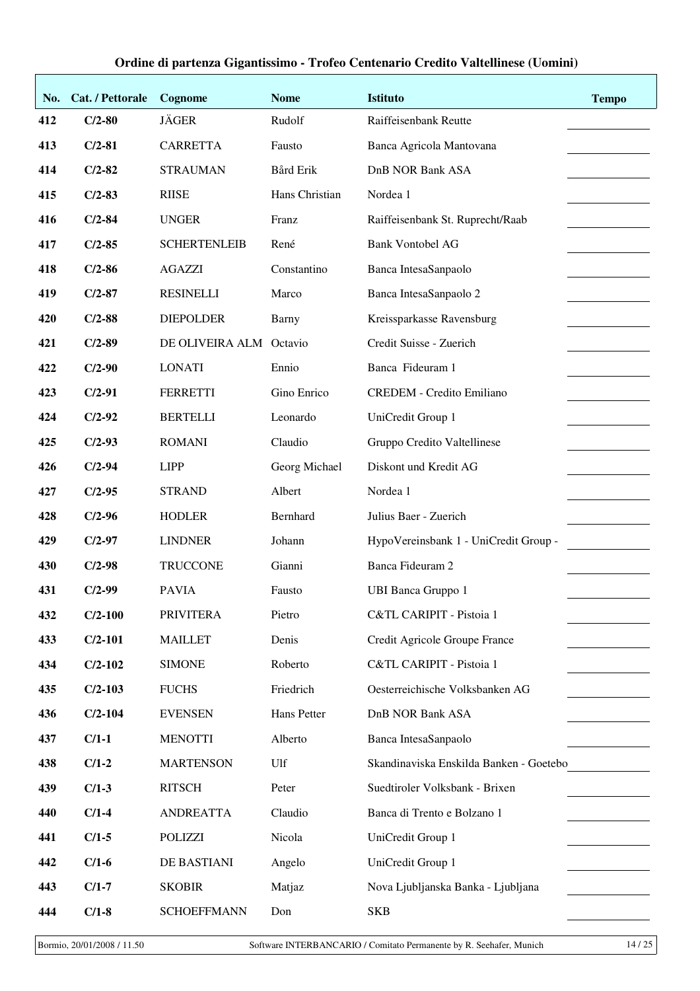| No. | Cat. / Pettorale | Cognome                 | <b>Nome</b>    | <b>Istituto</b>                         | <b>Tempo</b> |
|-----|------------------|-------------------------|----------------|-----------------------------------------|--------------|
| 412 | $C/2-80$         | <b>JÄGER</b>            | Rudolf         | Raiffeisenbank Reutte                   |              |
| 413 | $C/2-81$         | <b>CARRETTA</b>         | Fausto         | Banca Agricola Mantovana                |              |
| 414 | $C/2-82$         | <b>STRAUMAN</b>         | Bård Erik      | <b>DnB NOR Bank ASA</b>                 |              |
| 415 | $C/2-83$         | <b>RIISE</b>            | Hans Christian | Nordea 1                                |              |
| 416 | $C/2-84$         | <b>UNGER</b>            | Franz          | Raiffeisenbank St. Ruprecht/Raab        |              |
| 417 | $C/2-85$         | <b>SCHERTENLEIB</b>     | René           | <b>Bank Vontobel AG</b>                 |              |
| 418 | $C/2-86$         | <b>AGAZZI</b>           | Constantino    | Banca IntesaSanpaolo                    |              |
| 419 | $C/2-87$         | <b>RESINELLI</b>        | Marco          | Banca IntesaSanpaolo 2                  |              |
| 420 | $C/2-88$         | <b>DIEPOLDER</b>        | Barny          | Kreissparkasse Ravensburg               |              |
| 421 | $C/2-89$         | DE OLIVEIRA ALM Octavio |                | Credit Suisse - Zuerich                 |              |
| 422 | $C/2-90$         | <b>LONATI</b>           | Ennio          | Banca Fideuram 1                        |              |
| 423 | $C/2-91$         | <b>FERRETTI</b>         | Gino Enrico    | <b>CREDEM - Credito Emiliano</b>        |              |
| 424 | $C/2-92$         | <b>BERTELLI</b>         | Leonardo       | UniCredit Group 1                       |              |
| 425 | $C/2-93$         | <b>ROMANI</b>           | Claudio        | Gruppo Credito Valtellinese             |              |
| 426 | $C/2-94$         | <b>LIPP</b>             | Georg Michael  | Diskont und Kredit AG                   |              |
| 427 | $C/2-95$         | <b>STRAND</b>           | Albert         | Nordea 1                                |              |
| 428 | $C/2-96$         | <b>HODLER</b>           | Bernhard       | Julius Baer - Zuerich                   |              |
| 429 | $C/2-97$         | <b>LINDNER</b>          | Johann         | HypoVereinsbank 1 - UniCredit Group -   |              |
| 430 | $C/2-98$         | <b>TRUCCONE</b>         | Gianni         | Banca Fideuram 2                        |              |
| 431 | $C/2-99$         | <b>PAVIA</b>            | Fausto         | <b>UBI Banca Gruppo 1</b>               |              |
| 432 | $C/2-100$        | <b>PRIVITERA</b>        | Pietro         | C&TL CARIPIT - Pistoia 1                |              |
| 433 | $C/2-101$        | <b>MAILLET</b>          | Denis          | Credit Agricole Groupe France           |              |
| 434 | $C/2-102$        | <b>SIMONE</b>           | Roberto        | C&TL CARIPIT - Pistoia 1                |              |
| 435 | $C/2-103$        | <b>FUCHS</b>            | Friedrich      | Oesterreichische Volksbanken AG         |              |
| 436 | $C/2-104$        | <b>EVENSEN</b>          | Hans Petter    | <b>DnB NOR Bank ASA</b>                 |              |
| 437 | $C/1-1$          | <b>MENOTTI</b>          | Alberto        | Banca IntesaSanpaolo                    |              |
| 438 | $C/1-2$          | <b>MARTENSON</b>        | Ulf            | Skandinaviska Enskilda Banken - Goetebo |              |
| 439 | $C/1-3$          | <b>RITSCH</b>           | Peter          | Suedtiroler Volksbank - Brixen          |              |
| 440 | $C/1-4$          | <b>ANDREATTA</b>        | Claudio        | Banca di Trento e Bolzano 1             |              |
| 441 | $C/1-5$          | <b>POLIZZI</b>          | Nicola         | UniCredit Group 1                       |              |
| 442 | $C/1-6$          | DE BASTIANI             | Angelo         | UniCredit Group 1                       |              |
| 443 | $C/1-7$          | <b>SKOBIR</b>           | Matjaz         | Nova Ljubljanska Banka - Ljubljana      |              |
| 444 | $C/1-8$          | <b>SCHOEFFMANN</b>      | Don            | <b>SKB</b>                              |              |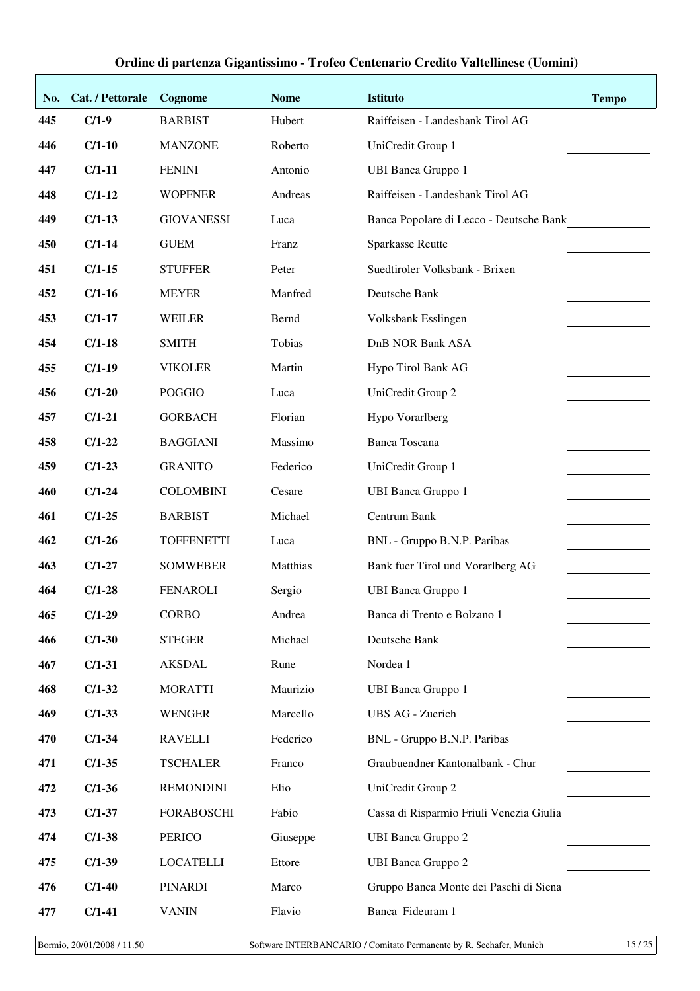| No. | Cat. / Pettorale | Cognome           | <b>Nome</b> | <b>Istituto</b>                          | <b>Tempo</b> |
|-----|------------------|-------------------|-------------|------------------------------------------|--------------|
| 445 | $C/1-9$          | <b>BARBIST</b>    | Hubert      | Raiffeisen - Landesbank Tirol AG         |              |
| 446 | $C/1-10$         | <b>MANZONE</b>    | Roberto     | UniCredit Group 1                        |              |
| 447 | $C/1-11$         | <b>FENINI</b>     | Antonio     | <b>UBI Banca Gruppo 1</b>                |              |
| 448 | $C/1-12$         | <b>WOPFNER</b>    | Andreas     | Raiffeisen - Landesbank Tirol AG         |              |
| 449 | $C/1-13$         | <b>GIOVANESSI</b> | Luca        | Banca Popolare di Lecco - Deutsche Bank  |              |
| 450 | $C/1-14$         | <b>GUEM</b>       | Franz       | <b>Sparkasse Reutte</b>                  |              |
| 451 | $C/1-15$         | <b>STUFFER</b>    | Peter       | Suedtiroler Volksbank - Brixen           |              |
| 452 | $C/1-16$         | <b>MEYER</b>      | Manfred     | Deutsche Bank                            |              |
| 453 | $C/1-17$         | <b>WEILER</b>     | Bernd       | Volksbank Esslingen                      |              |
| 454 | $C/1-18$         | <b>SMITH</b>      | Tobias      | <b>DnB NOR Bank ASA</b>                  |              |
| 455 | $C/1-19$         | <b>VIKOLER</b>    | Martin      | Hypo Tirol Bank AG                       |              |
| 456 | $C/1-20$         | <b>POGGIO</b>     | Luca        | UniCredit Group 2                        |              |
| 457 | $C/1-21$         | <b>GORBACH</b>    | Florian     | Hypo Vorarlberg                          |              |
| 458 | $C/1-22$         | <b>BAGGIANI</b>   | Massimo     | <b>Banca Toscana</b>                     |              |
| 459 | $C/1-23$         | <b>GRANITO</b>    | Federico    | UniCredit Group 1                        |              |
| 460 | $C/1-24$         | <b>COLOMBINI</b>  | Cesare      | <b>UBI Banca Gruppo 1</b>                |              |
| 461 | $C/1-25$         | <b>BARBIST</b>    | Michael     | Centrum Bank                             |              |
| 462 | $C/1-26$         | <b>TOFFENETTI</b> | Luca        | BNL - Gruppo B.N.P. Paribas              |              |
| 463 | $C/1-27$         | <b>SOMWEBER</b>   | Matthias    | Bank fuer Tirol und Vorarlberg AG        |              |
| 464 | $C/1-28$         | <b>FENAROLI</b>   | Sergio      | <b>UBI Banca Gruppo 1</b>                |              |
| 465 | $C/1-29$         | <b>CORBO</b>      | Andrea      | Banca di Trento e Bolzano 1              |              |
| 466 | $C/1-30$         | <b>STEGER</b>     | Michael     | Deutsche Bank                            |              |
| 467 | $C/1-31$         | <b>AKSDAL</b>     | Rune        | Nordea 1                                 |              |
| 468 | $C/1-32$         | <b>MORATTI</b>    | Maurizio    | <b>UBI Banca Gruppo 1</b>                |              |
| 469 | $C/1-33$         | <b>WENGER</b>     | Marcello    | <b>UBS AG - Zuerich</b>                  |              |
| 470 | $C/1-34$         | <b>RAVELLI</b>    | Federico    | BNL - Gruppo B.N.P. Paribas              |              |
| 471 | $C/1-35$         | <b>TSCHALER</b>   | Franco      | Graubuendner Kantonalbank - Chur         |              |
| 472 | $C/1-36$         | <b>REMONDINI</b>  | Elio        | UniCredit Group 2                        |              |
| 473 | $C/1-37$         | <b>FORABOSCHI</b> | Fabio       | Cassa di Risparmio Friuli Venezia Giulia |              |
| 474 | $C/1-38$         | <b>PERICO</b>     | Giuseppe    | <b>UBI Banca Gruppo 2</b>                |              |
| 475 | $C/1-39$         | <b>LOCATELLI</b>  | Ettore      | <b>UBI Banca Gruppo 2</b>                |              |
| 476 | $C/1-40$         | <b>PINARDI</b>    | Marco       | Gruppo Banca Monte dei Paschi di Siena   |              |
| 477 | $C/1-41$         | <b>VANIN</b>      | Flavio      | Banca Fideuram 1                         |              |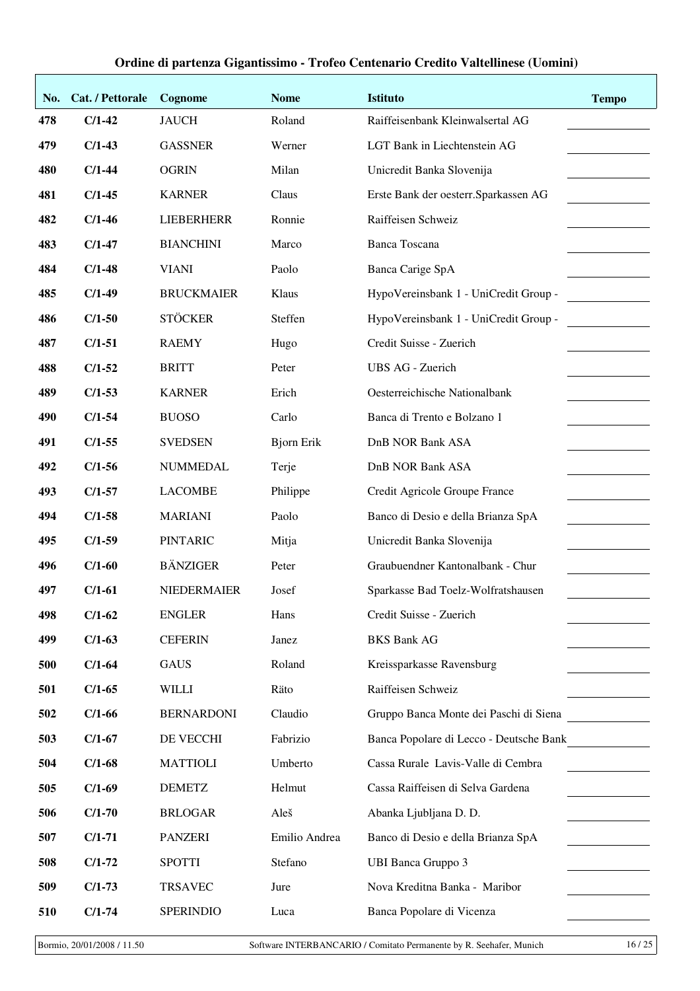| No. | Cat. / Pettorale | Cognome            | <b>Nome</b>       | <b>Istituto</b>                         | <b>Tempo</b> |
|-----|------------------|--------------------|-------------------|-----------------------------------------|--------------|
| 478 | $C/1-42$         | <b>JAUCH</b>       | Roland            | Raiffeisenbank Kleinwalsertal AG        |              |
| 479 | $C/1-43$         | <b>GASSNER</b>     | Werner            | LGT Bank in Liechtenstein AG            |              |
| 480 | $C/1-44$         | <b>OGRIN</b>       | Milan             | Unicredit Banka Slovenija               |              |
| 481 | $C/1-45$         | <b>KARNER</b>      | Claus             | Erste Bank der oesterr. Sparkassen AG   |              |
| 482 | $C/1-46$         | <b>LIEBERHERR</b>  | Ronnie            | Raiffeisen Schweiz                      |              |
| 483 | $C/1-47$         | <b>BIANCHINI</b>   | Marco             | <b>Banca Toscana</b>                    |              |
| 484 | $C/1-48$         | <b>VIANI</b>       | Paolo             | Banca Carige SpA                        |              |
| 485 | $C/1-49$         | <b>BRUCKMAIER</b>  | Klaus             | HypoVereinsbank 1 - UniCredit Group -   |              |
| 486 | $C/1-50$         | <b>STÖCKER</b>     | Steffen           | HypoVereinsbank 1 - UniCredit Group -   |              |
| 487 | $C/1-51$         | <b>RAEMY</b>       | Hugo              | Credit Suisse - Zuerich                 |              |
| 488 | $C/1-52$         | <b>BRITT</b>       | Peter             | <b>UBS AG - Zuerich</b>                 |              |
| 489 | $C/1-53$         | <b>KARNER</b>      | Erich             | Oesterreichische Nationalbank           |              |
| 490 | $C/1-54$         | <b>BUOSO</b>       | Carlo             | Banca di Trento e Bolzano 1             |              |
| 491 | $C/1-55$         | <b>SVEDSEN</b>     | <b>Bjorn Erik</b> | <b>DnB NOR Bank ASA</b>                 |              |
| 492 | $C/1-56$         | <b>NUMMEDAL</b>    | Terje             | <b>DnB NOR Bank ASA</b>                 |              |
| 493 | $C/1-57$         | <b>LACOMBE</b>     | Philippe          | Credit Agricole Groupe France           |              |
| 494 | $C/1-58$         | <b>MARIANI</b>     | Paolo             | Banco di Desio e della Brianza SpA      |              |
| 495 | $C/1-59$         | <b>PINTARIC</b>    | Mitja             | Unicredit Banka Slovenija               |              |
| 496 | $C/1-60$         | <b>BÄNZIGER</b>    | Peter             | Graubuendner Kantonalbank - Chur        |              |
| 497 | $C/1-61$         | <b>NIEDERMAIER</b> | Josef             | Sparkasse Bad Toelz-Wolfratshausen      |              |
| 498 | $C/1-62$         | <b>ENGLER</b>      | Hans              | Credit Suisse - Zuerich                 |              |
| 499 | $C/1-63$         | <b>CEFERIN</b>     | Janez             | <b>BKS Bank AG</b>                      |              |
| 500 | $C/1-64$         | <b>GAUS</b>        | Roland            | Kreissparkasse Ravensburg               |              |
| 501 | $C/1-65$         | <b>WILLI</b>       | Räto              | Raiffeisen Schweiz                      |              |
| 502 | $C/1-66$         | <b>BERNARDONI</b>  | Claudio           | Gruppo Banca Monte dei Paschi di Siena  |              |
| 503 | $C/1-67$         | DE VECCHI          | Fabrizio          | Banca Popolare di Lecco - Deutsche Bank |              |
| 504 | $C/1-68$         | <b>MATTIOLI</b>    | Umberto           | Cassa Rurale Lavis-Valle di Cembra      |              |
| 505 | $C/1-69$         | <b>DEMETZ</b>      | Helmut            | Cassa Raiffeisen di Selva Gardena       |              |
| 506 | $C/1-70$         | <b>BRLOGAR</b>     | Aleš              | Abanka Ljubljana D. D.                  |              |
| 507 | $C/1-71$         | <b>PANZERI</b>     | Emilio Andrea     | Banco di Desio e della Brianza SpA      |              |
| 508 | $C/1-72$         | <b>SPOTTI</b>      | Stefano           | <b>UBI Banca Gruppo 3</b>               |              |
| 509 | $C/1-73$         | <b>TRSAVEC</b>     | Jure              | Nova Kreditna Banka - Maribor           |              |
| 510 | $C/1-74$         | <b>SPERINDIO</b>   | Luca              | Banca Popolare di Vicenza               |              |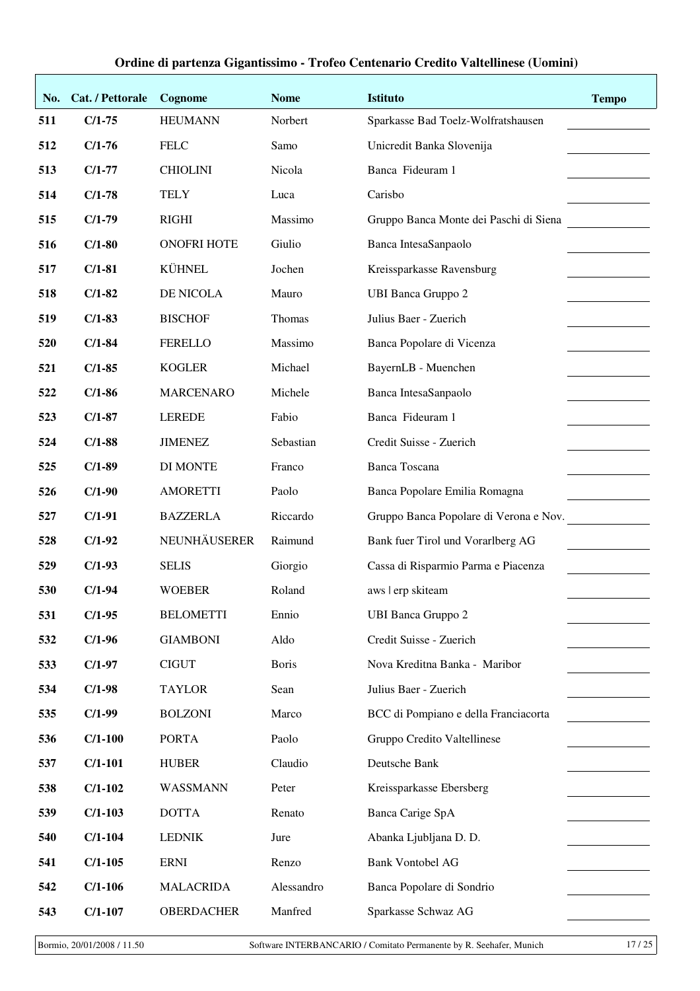| No. | Cat. / Pettorale | Cognome            | <b>Nome</b>  | <b>Istituto</b>                        | <b>Tempo</b> |
|-----|------------------|--------------------|--------------|----------------------------------------|--------------|
| 511 | $C/1-75$         | <b>HEUMANN</b>     | Norbert      | Sparkasse Bad Toelz-Wolfratshausen     |              |
| 512 | $C/1-76$         | <b>FELC</b>        | Samo         | Unicredit Banka Slovenija              |              |
| 513 | $C/1-77$         | <b>CHIOLINI</b>    | Nicola       | Banca Fideuram 1                       |              |
| 514 | $C/1-78$         | <b>TELY</b>        | Luca         | Carisbo                                |              |
| 515 | $C/1-79$         | <b>RIGHI</b>       | Massimo      | Gruppo Banca Monte dei Paschi di Siena |              |
| 516 | $C/1-80$         | <b>ONOFRI HOTE</b> | Giulio       | Banca IntesaSanpaolo                   |              |
| 517 | $C/1-81$         | KÜHNEL             | Jochen       | Kreissparkasse Ravensburg              |              |
| 518 | $C/1-82$         | DE NICOLA          | Mauro        | <b>UBI Banca Gruppo 2</b>              |              |
| 519 | $C/1-83$         | <b>BISCHOF</b>     | Thomas       | Julius Baer - Zuerich                  |              |
| 520 | $C/1-84$         | <b>FERELLO</b>     | Massimo      | Banca Popolare di Vicenza              |              |
| 521 | $C/1-85$         | <b>KOGLER</b>      | Michael      | BayernLB - Muenchen                    |              |
| 522 | $C/1-86$         | <b>MARCENARO</b>   | Michele      | Banca IntesaSanpaolo                   |              |
| 523 | $C/1-87$         | <b>LEREDE</b>      | Fabio        | Banca Fideuram 1                       |              |
| 524 | $C/1-88$         | <b>JIMENEZ</b>     | Sebastian    | Credit Suisse - Zuerich                |              |
| 525 | $C/1-89$         | <b>DI MONTE</b>    | Franco       | <b>Banca Toscana</b>                   |              |
| 526 | $C/1-90$         | <b>AMORETTI</b>    | Paolo        | Banca Popolare Emilia Romagna          |              |
| 527 | $C/1-91$         | <b>BAZZERLA</b>    | Riccardo     | Gruppo Banca Popolare di Verona e Nov. |              |
| 528 | $C/1-92$         | NEUNHÄUSERER       | Raimund      | Bank fuer Tirol und Vorarlberg AG      |              |
| 529 | $C/1-93$         | <b>SELIS</b>       | Giorgio      | Cassa di Risparmio Parma e Piacenza    |              |
| 530 | $C/1-94$         | <b>WOEBER</b>      | Roland       | aws   erp skiteam                      |              |
| 531 | $C/1-95$         | <b>BELOMETTI</b>   | Ennio        | <b>UBI Banca Gruppo 2</b>              |              |
| 532 | $C/1-96$         | <b>GIAMBONI</b>    | Aldo         | Credit Suisse - Zuerich                |              |
| 533 | $C/1-97$         | <b>CIGUT</b>       | <b>Boris</b> | Nova Kreditna Banka - Maribor          |              |
| 534 | $C/1-98$         | <b>TAYLOR</b>      | Sean         | Julius Baer - Zuerich                  |              |
| 535 | $C/1-99$         | <b>BOLZONI</b>     | Marco        | BCC di Pompiano e della Franciacorta   |              |
| 536 | $C/1-100$        | <b>PORTA</b>       | Paolo        | Gruppo Credito Valtellinese            |              |
| 537 | $C/1-101$        | <b>HUBER</b>       | Claudio      | Deutsche Bank                          |              |
| 538 | $C/1-102$        | WASSMANN           | Peter        | Kreissparkasse Ebersberg               |              |
| 539 | $C/1-103$        | <b>DOTTA</b>       | Renato       | Banca Carige SpA                       |              |
| 540 | $C/1-104$        | <b>LEDNIK</b>      | Jure         | Abanka Ljubljana D. D.                 |              |
| 541 | $C/1-105$        | <b>ERNI</b>        | Renzo        | <b>Bank Vontobel AG</b>                |              |
| 542 | $C/1-106$        | <b>MALACRIDA</b>   | Alessandro   | Banca Popolare di Sondrio              |              |
| 543 | $C/1-107$        | <b>OBERDACHER</b>  | Manfred      | Sparkasse Schwaz AG                    |              |

Bormio, 20/01/2008 / 11.50 Software INTERBANCARIO / Comitato Permanente by R. Seehafer, Munich 17 / 25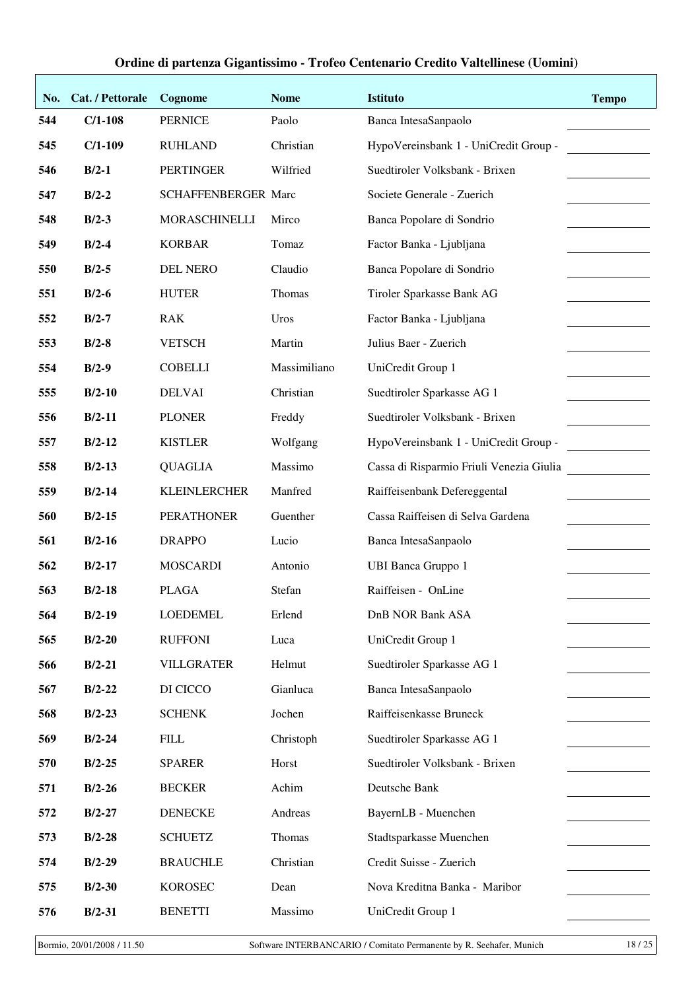| No. | Cat. / Pettorale | Cognome                    | <b>Nome</b>  | <b>Istituto</b>                          | <b>Tempo</b> |
|-----|------------------|----------------------------|--------------|------------------------------------------|--------------|
| 544 | $C/1-108$        | <b>PERNICE</b>             | Paolo        | Banca IntesaSanpaolo                     |              |
| 545 | $C/1-109$        | <b>RUHLAND</b>             | Christian    | HypoVereinsbank 1 - UniCredit Group -    |              |
| 546 | $B/2-1$          | <b>PERTINGER</b>           | Wilfried     | Suedtiroler Volksbank - Brixen           |              |
| 547 | $B/2-2$          | <b>SCHAFFENBERGER Marc</b> |              | Societe Generale - Zuerich               |              |
| 548 | $B/2-3$          | MORASCHINELLI              | Mirco        | Banca Popolare di Sondrio                |              |
| 549 | $B/2-4$          | <b>KORBAR</b>              | Tomaz        | Factor Banka - Ljubljana                 |              |
| 550 | $B/2-5$          | <b>DEL NERO</b>            | Claudio      | Banca Popolare di Sondrio                |              |
| 551 | $B/2-6$          | <b>HUTER</b>               | Thomas       | Tiroler Sparkasse Bank AG                |              |
| 552 | $B/2-7$          | <b>RAK</b>                 | Uros         | Factor Banka - Ljubljana                 |              |
| 553 | $B/2-8$          | <b>VETSCH</b>              | Martin       | Julius Baer - Zuerich                    |              |
| 554 | $B/2-9$          | <b>COBELLI</b>             | Massimiliano | UniCredit Group 1                        |              |
| 555 | $B/2-10$         | <b>DELVAI</b>              | Christian    | Suedtiroler Sparkasse AG 1               |              |
| 556 | $B/2-11$         | <b>PLONER</b>              | Freddy       | Suedtiroler Volksbank - Brixen           |              |
| 557 | $B/2-12$         | <b>KISTLER</b>             | Wolfgang     | HypoVereinsbank 1 - UniCredit Group -    |              |
| 558 | $B/2-13$         | <b>QUAGLIA</b>             | Massimo      | Cassa di Risparmio Friuli Venezia Giulia |              |
| 559 | $B/2-14$         | <b>KLEINLERCHER</b>        | Manfred      | Raiffeisenbank Defereggental             |              |
| 560 | $B/2-15$         | <b>PERATHONER</b>          | Guenther     | Cassa Raiffeisen di Selva Gardena        |              |
| 561 | $B/2-16$         | <b>DRAPPO</b>              | Lucio        | Banca IntesaSanpaolo                     |              |
| 562 | $B/2-17$         | <b>MOSCARDI</b>            | Antonio      | <b>UBI Banca Gruppo 1</b>                |              |
| 563 | $B/2-18$         | <b>PLAGA</b>               | Stefan       | Raiffeisen - OnLine                      |              |
| 564 | $B/2-19$         | <b>LOEDEMEL</b>            | Erlend       | <b>DnB NOR Bank ASA</b>                  |              |
| 565 | $B/2-20$         | <b>RUFFONI</b>             | Luca         | UniCredit Group 1                        |              |
| 566 | $B/2-21$         | <b>VILLGRATER</b>          | Helmut       | Suedtiroler Sparkasse AG 1               |              |
| 567 | $B/2-22$         | DI CICCO                   | Gianluca     | Banca IntesaSanpaolo                     |              |
| 568 | $B/2-23$         | <b>SCHENK</b>              | Jochen       | Raiffeisenkasse Bruneck                  |              |
| 569 | $B/2-24$         | <b>FILL</b>                | Christoph    | Suedtiroler Sparkasse AG 1               |              |
| 570 | $B/2-25$         | <b>SPARER</b>              | Horst        | Suedtiroler Volksbank - Brixen           |              |
| 571 | $B/2-26$         | <b>BECKER</b>              | Achim        | Deutsche Bank                            |              |
| 572 | $B/2-27$         | <b>DENECKE</b>             | Andreas      | BayernLB - Muenchen                      |              |
| 573 | $B/2-28$         | <b>SCHUETZ</b>             | Thomas       | Stadtsparkasse Muenchen                  |              |
| 574 | $B/2-29$         | <b>BRAUCHLE</b>            | Christian    | Credit Suisse - Zuerich                  |              |
| 575 | $B/2-30$         | <b>KOROSEC</b>             | Dean         | Nova Kreditna Banka - Maribor            |              |
| 576 | $B/2-31$         | <b>BENETTI</b>             | Massimo      | UniCredit Group 1                        |              |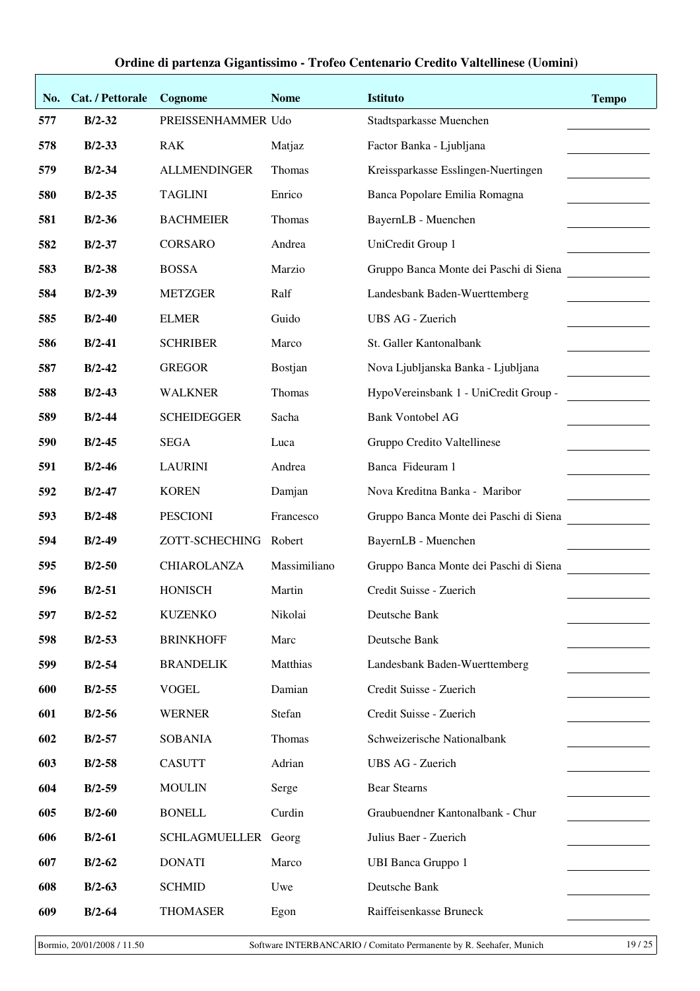| Ordine di partenza Gigantissimo - Trofeo Centenario Credito Valtellinese (Uomini) |  |  |  |  |  |  |
|-----------------------------------------------------------------------------------|--|--|--|--|--|--|
|-----------------------------------------------------------------------------------|--|--|--|--|--|--|

| No. | Cat. / Pettorale | Cognome             | <b>Nome</b>  | Istituto                               | <b>Tempo</b> |
|-----|------------------|---------------------|--------------|----------------------------------------|--------------|
| 577 | $B/2-32$         | PREISSENHAMMER Udo  |              | Stadtsparkasse Muenchen                |              |
| 578 | $B/2-33$         | <b>RAK</b>          | Matjaz       | Factor Banka - Ljubljana               |              |
| 579 | $B/2-34$         | <b>ALLMENDINGER</b> | Thomas       | Kreissparkasse Esslingen-Nuertingen    |              |
| 580 | $B/2 - 35$       | <b>TAGLINI</b>      | Enrico       | Banca Popolare Emilia Romagna          |              |
| 581 | $B/2-36$         | <b>BACHMEIER</b>    | Thomas       | BayernLB - Muenchen                    |              |
| 582 | $B/2-37$         | <b>CORSARO</b>      | Andrea       | UniCredit Group 1                      |              |
| 583 | $B/2-38$         | <b>BOSSA</b>        | Marzio       | Gruppo Banca Monte dei Paschi di Siena |              |
| 584 | $B/2-39$         | <b>METZGER</b>      | Ralf         | Landesbank Baden-Wuerttemberg          |              |
| 585 | $B/2-40$         | <b>ELMER</b>        | Guido        | <b>UBS AG - Zuerich</b>                |              |
| 586 | $B/2-41$         | <b>SCHRIBER</b>     | Marco        | St. Galler Kantonalbank                |              |
| 587 | $B/2-42$         | <b>GREGOR</b>       | Bostjan      | Nova Ljubljanska Banka - Ljubljana     |              |
| 588 | $B/2-43$         | <b>WALKNER</b>      | Thomas       | HypoVereinsbank 1 - UniCredit Group -  |              |
| 589 | $B/2-44$         | <b>SCHEIDEGGER</b>  | Sacha        | <b>Bank Vontobel AG</b>                |              |
| 590 | $B/2-45$         | <b>SEGA</b>         | Luca         | Gruppo Credito Valtellinese            |              |
| 591 | $B/2-46$         | <b>LAURINI</b>      | Andrea       | Banca Fideuram 1                       |              |
| 592 | $B/2-47$         | <b>KOREN</b>        | Damjan       | Nova Kreditna Banka - Maribor          |              |
| 593 | $B/2-48$         | <b>PESCIONI</b>     | Francesco    | Gruppo Banca Monte dei Paschi di Siena |              |
| 594 | $B/2-49$         | ZOTT-SCHECHING      | Robert       | BayernLB - Muenchen                    |              |
| 595 | $B/2-50$         | <b>CHIAROLANZA</b>  | Massimiliano | Gruppo Banca Monte dei Paschi di Siena |              |
| 596 | $B/2-51$         | <b>HONISCH</b>      | Martin       | Credit Suisse - Zuerich                |              |
| 597 | $B/2-52$         | <b>KUZENKO</b>      | Nikolai      | Deutsche Bank                          |              |
| 598 | $B/2-53$         | <b>BRINKHOFF</b>    | Marc         | Deutsche Bank                          |              |
| 599 | $B/2-54$         | <b>BRANDELIK</b>    | Matthias     | Landesbank Baden-Wuerttemberg          |              |
| 600 | $B/2 - 55$       | <b>VOGEL</b>        | Damian       | Credit Suisse - Zuerich                |              |
| 601 | $B/2-56$         | <b>WERNER</b>       | Stefan       | Credit Suisse - Zuerich                |              |
| 602 | $B/2-57$         | <b>SOBANIA</b>      | Thomas       | Schweizerische Nationalbank            |              |
| 603 | $B/2-58$         | <b>CASUTT</b>       | Adrian       | <b>UBS AG - Zuerich</b>                |              |
| 604 | $B/2-59$         | <b>MOULIN</b>       | Serge        | <b>Bear Stearns</b>                    |              |
| 605 | $B/2-60$         | <b>BONELL</b>       | Curdin       | Graubuendner Kantonalbank - Chur       |              |
| 606 | $B/2-61$         | SCHLAGMUELLER       | Georg        | Julius Baer - Zuerich                  |              |
| 607 | $B/2-62$         | <b>DONATI</b>       | Marco        | <b>UBI Banca Gruppo 1</b>              |              |
| 608 | $B/2-63$         | <b>SCHMID</b>       | Uwe          | Deutsche Bank                          |              |
| 609 | $B/2-64$         | <b>THOMASER</b>     | Egon         | Raiffeisenkasse Bruneck                |              |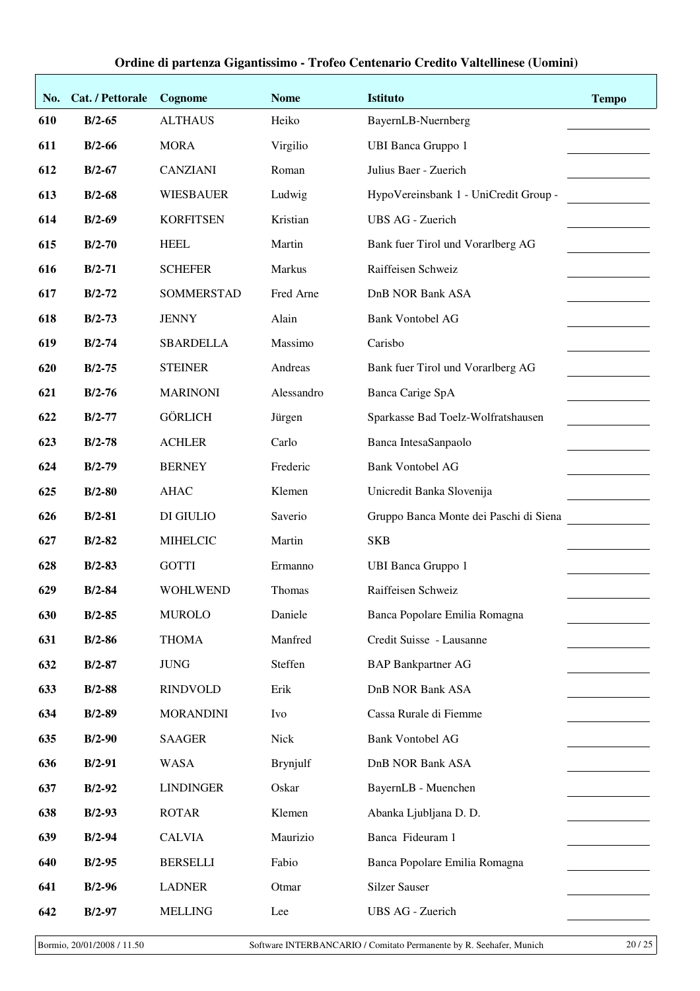| No. | Cat. / Pettorale | Cognome          | <b>Nome</b> | <b>Istituto</b>                        | <b>Tempo</b> |
|-----|------------------|------------------|-------------|----------------------------------------|--------------|
| 610 | $B/2-65$         | <b>ALTHAUS</b>   | Heiko       | BayernLB-Nuernberg                     |              |
| 611 | $B/2-66$         | <b>MORA</b>      | Virgilio    | <b>UBI Banca Gruppo 1</b>              |              |
| 612 | $B/2-67$         | <b>CANZIANI</b>  | Roman       | Julius Baer - Zuerich                  |              |
| 613 | $B/2-68$         | <b>WIESBAUER</b> | Ludwig      | HypoVereinsbank 1 - UniCredit Group -  |              |
| 614 | $B/2-69$         | <b>KORFITSEN</b> | Kristian    | UBS AG - Zuerich                       |              |
| 615 | $B/2-70$         | <b>HEEL</b>      | Martin      | Bank fuer Tirol und Vorarlberg AG      |              |
| 616 | $B/2-71$         | <b>SCHEFER</b>   | Markus      | Raiffeisen Schweiz                     |              |
| 617 | $B/2-72$         | SOMMERSTAD       | Fred Arne   | <b>DnB NOR Bank ASA</b>                |              |
| 618 | $B/2-73$         | <b>JENNY</b>     | Alain       | <b>Bank Vontobel AG</b>                |              |
| 619 | $B/2-74$         | <b>SBARDELLA</b> | Massimo     | Carisbo                                |              |
| 620 | $B/2-75$         | <b>STEINER</b>   | Andreas     | Bank fuer Tirol und Vorarlberg AG      |              |
| 621 | $B/2-76$         | <b>MARINONI</b>  | Alessandro  | Banca Carige SpA                       |              |
| 622 | $B/2-77$         | <b>GÖRLICH</b>   | Jürgen      | Sparkasse Bad Toelz-Wolfratshausen     |              |
| 623 | $B/2-78$         | <b>ACHLER</b>    | Carlo       | Banca IntesaSanpaolo                   |              |
| 624 | $B/2-79$         | <b>BERNEY</b>    | Frederic    | <b>Bank Vontobel AG</b>                |              |
| 625 | $B/2-80$         | <b>AHAC</b>      | Klemen      | Unicredit Banka Slovenija              |              |
| 626 | $B/2-81$         | DI GIULIO        | Saverio     | Gruppo Banca Monte dei Paschi di Siena |              |
| 627 | $B/2-82$         | <b>MIHELCIC</b>  | Martin      | <b>SKB</b>                             |              |
| 628 | $B/2-83$         | <b>GOTTI</b>     | Ermanno     | <b>UBI Banca Gruppo 1</b>              |              |
| 629 | $B/2-84$         | <b>WOHLWEND</b>  | Thomas      | Raiffeisen Schweiz                     |              |
| 630 | $B/2-85$         | <b>MUROLO</b>    | Daniele     | Banca Popolare Emilia Romagna          |              |
| 631 | $B/2-86$         | <b>THOMA</b>     | Manfred     | Credit Suisse - Lausanne               |              |
| 632 | $B/2-87$         | <b>JUNG</b>      | Steffen     | <b>BAP Bankpartner AG</b>              |              |
| 633 | $B/2-88$         | <b>RINDVOLD</b>  | Erik        | <b>DnB NOR Bank ASA</b>                |              |
| 634 | $B/2-89$         | <b>MORANDINI</b> | Ivo         | Cassa Rurale di Fiemme                 |              |
| 635 | $B/2-90$         | <b>SAAGER</b>    | Nick        | <b>Bank Vontobel AG</b>                |              |
| 636 | $B/2-91$         | <b>WASA</b>      | Brynjulf    | DnB NOR Bank ASA                       |              |
| 637 | $B/2-92$         | <b>LINDINGER</b> | Oskar       | BayernLB - Muenchen                    |              |
| 638 | $B/2-93$         | <b>ROTAR</b>     | Klemen      | Abanka Ljubljana D. D.                 |              |
| 639 | $B/2-94$         | <b>CALVIA</b>    | Maurizio    | Banca Fideuram 1                       |              |
| 640 | $B/2-95$         | <b>BERSELLI</b>  | Fabio       | Banca Popolare Emilia Romagna          |              |
| 641 | $B/2-96$         | <b>LADNER</b>    | Otmar       | <b>Silzer Sauser</b>                   |              |
| 642 | $B/2-97$         | <b>MELLING</b>   | Lee         | UBS AG - Zuerich                       |              |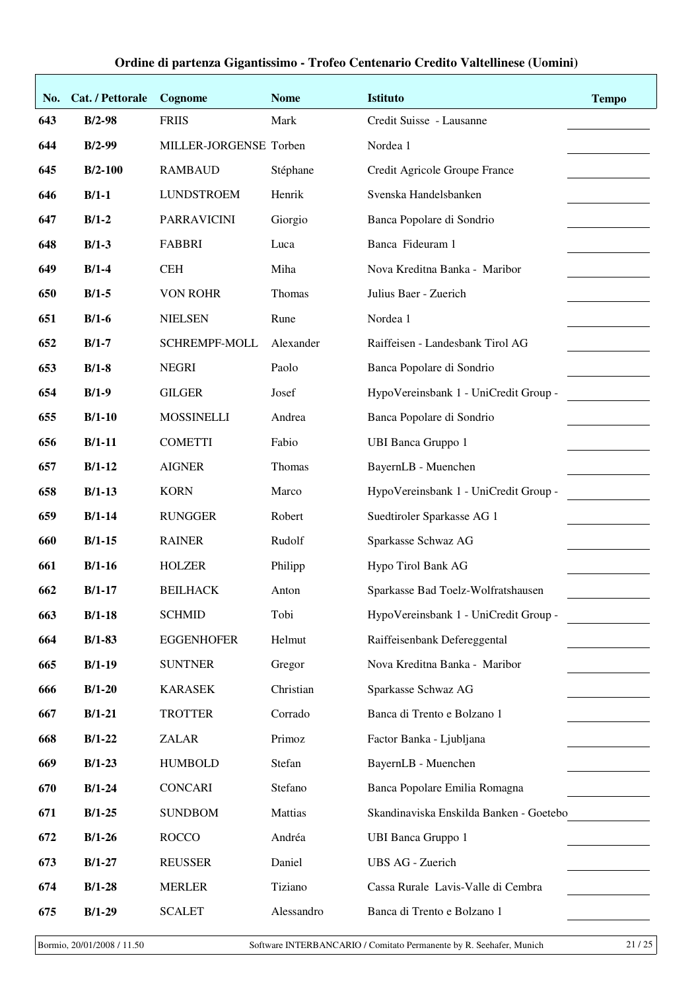| No. | Cat. / Pettorale | Cognome                | <b>Nome</b>   | <b>Istituto</b>                         | <b>Tempo</b> |
|-----|------------------|------------------------|---------------|-----------------------------------------|--------------|
| 643 | $B/2-98$         | <b>FRIIS</b>           | Mark          | Credit Suisse - Lausanne                |              |
| 644 | $B/2-99$         | MILLER-JORGENSE Torben |               | Nordea 1                                |              |
| 645 | $B/2-100$        | <b>RAMBAUD</b>         | Stéphane      | Credit Agricole Groupe France           |              |
| 646 | $B/1-1$          | <b>LUNDSTROEM</b>      | Henrik        | Svenska Handelsbanken                   |              |
| 647 | $B/1-2$          | <b>PARRAVICINI</b>     | Giorgio       | Banca Popolare di Sondrio               |              |
| 648 | $B/1-3$          | <b>FABBRI</b>          | Luca          | Banca Fideuram 1                        |              |
| 649 | $B/1-4$          | <b>CEH</b>             | Miha          | Nova Kreditna Banka - Maribor           |              |
| 650 | $B/1-5$          | <b>VON ROHR</b>        | Thomas        | Julius Baer - Zuerich                   |              |
| 651 | $B/1-6$          | <b>NIELSEN</b>         | Rune          | Nordea 1                                |              |
| 652 | $B/1-7$          | SCHREMPF-MOLL          | Alexander     | Raiffeisen - Landesbank Tirol AG        |              |
| 653 | $B/1-8$          | <b>NEGRI</b>           | Paolo         | Banca Popolare di Sondrio               |              |
| 654 | $B/1-9$          | <b>GILGER</b>          | Josef         | HypoVereinsbank 1 - UniCredit Group -   |              |
| 655 | $B/1-10$         | <b>MOSSINELLI</b>      | Andrea        | Banca Popolare di Sondrio               |              |
| 656 | $B/1-11$         | <b>COMETTI</b>         | Fabio         | <b>UBI Banca Gruppo 1</b>               |              |
| 657 | $B/1-12$         | <b>AIGNER</b>          | <b>Thomas</b> | BayernLB - Muenchen                     |              |
| 658 | $B/1-13$         | <b>KORN</b>            | Marco         | HypoVereinsbank 1 - UniCredit Group -   |              |
| 659 | $B/1-14$         | <b>RUNGGER</b>         | Robert        | Suedtiroler Sparkasse AG 1              |              |
| 660 | $B/1-15$         | <b>RAINER</b>          | Rudolf        | Sparkasse Schwaz AG                     |              |
| 661 | $B/1-16$         | <b>HOLZER</b>          | Philipp       | Hypo Tirol Bank AG                      |              |
| 662 | $B/1-17$         | <b>BEILHACK</b>        | Anton         | Sparkasse Bad Toelz-Wolfratshausen      |              |
| 663 | $B/1-18$         | <b>SCHMID</b>          | Tobi          | HypoVereinsbank 1 - UniCredit Group -   |              |
| 664 | $B/1-83$         | <b>EGGENHOFER</b>      | Helmut        | Raiffeisenbank Defereggental            |              |
| 665 | $B/1-19$         | <b>SUNTNER</b>         | Gregor        | Nova Kreditna Banka - Maribor           |              |
| 666 | $B/1-20$         | <b>KARASEK</b>         | Christian     | Sparkasse Schwaz AG                     |              |
| 667 | $B/1-21$         | <b>TROTTER</b>         | Corrado       | Banca di Trento e Bolzano 1             |              |
| 668 | $B/1-22$         | <b>ZALAR</b>           | Primoz        | Factor Banka - Ljubljana                |              |
| 669 | $B/1-23$         | <b>HUMBOLD</b>         | Stefan        | BayernLB - Muenchen                     |              |
| 670 | $B/1-24$         | <b>CONCARI</b>         | Stefano       | Banca Popolare Emilia Romagna           |              |
| 671 | $B/1-25$         | <b>SUNDBOM</b>         | Mattias       | Skandinaviska Enskilda Banken - Goetebo |              |
| 672 | $B/1-26$         | <b>ROCCO</b>           | Andréa        | <b>UBI Banca Gruppo 1</b>               |              |
| 673 | $B/1-27$         | <b>REUSSER</b>         | Daniel        | <b>UBS AG - Zuerich</b>                 |              |
| 674 | $B/1-28$         | <b>MERLER</b>          | Tiziano       | Cassa Rurale Lavis-Valle di Cembra      |              |
| 675 | $B/1-29$         | <b>SCALET</b>          | Alessandro    | Banca di Trento e Bolzano 1             |              |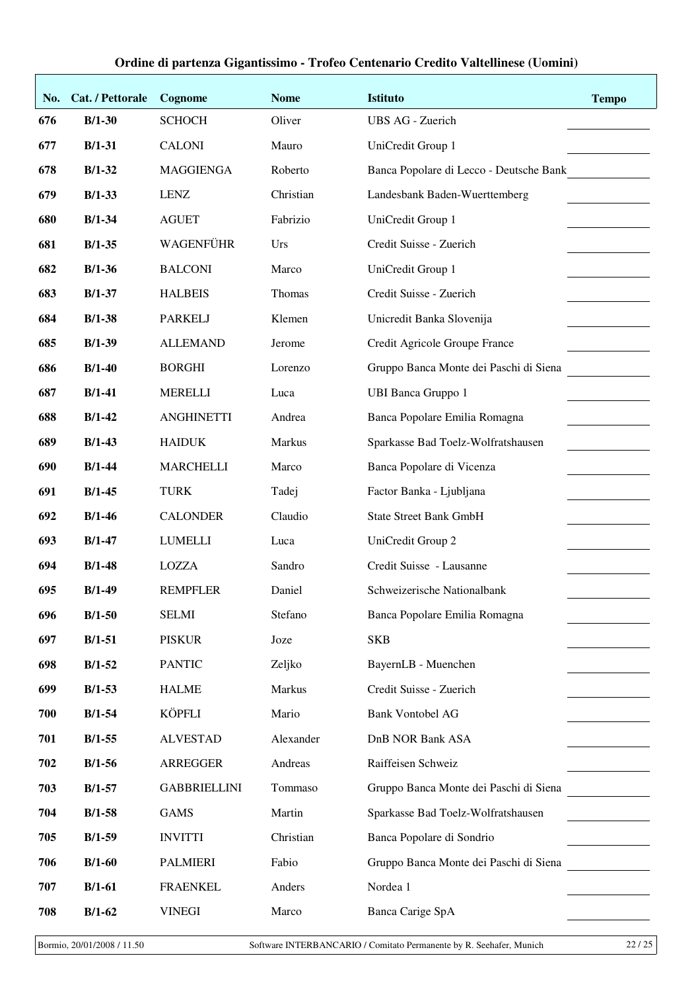| No. | Cat. / Pettorale | Cognome             | <b>Nome</b> | <b>Istituto</b>                         | <b>Tempo</b> |
|-----|------------------|---------------------|-------------|-----------------------------------------|--------------|
| 676 | $B/1-30$         | <b>SCHOCH</b>       | Oliver      | UBS AG - Zuerich                        |              |
| 677 | $B/1-31$         | <b>CALONI</b>       | Mauro       | UniCredit Group 1                       |              |
| 678 | $B/1-32$         | <b>MAGGIENGA</b>    | Roberto     | Banca Popolare di Lecco - Deutsche Bank |              |
| 679 | $B/1-33$         | <b>LENZ</b>         | Christian   | Landesbank Baden-Wuerttemberg           |              |
| 680 | $B/1-34$         | <b>AGUET</b>        | Fabrizio    | UniCredit Group 1                       |              |
| 681 | $B/1-35$         | WAGENFÜHR           | Urs         | Credit Suisse - Zuerich                 |              |
| 682 | $B/1-36$         | <b>BALCONI</b>      | Marco       | UniCredit Group 1                       |              |
| 683 | $B/1-37$         | <b>HALBEIS</b>      | Thomas      | Credit Suisse - Zuerich                 |              |
| 684 | $B/1-38$         | <b>PARKELJ</b>      | Klemen      | Unicredit Banka Slovenija               |              |
| 685 | $B/1-39$         | <b>ALLEMAND</b>     | Jerome      | Credit Agricole Groupe France           |              |
| 686 | $B/1-40$         | <b>BORGHI</b>       | Lorenzo     | Gruppo Banca Monte dei Paschi di Siena  |              |
| 687 | $B/1-41$         | <b>MERELLI</b>      | Luca        | <b>UBI Banca Gruppo 1</b>               |              |
| 688 | $B/1-42$         | <b>ANGHINETTI</b>   | Andrea      | Banca Popolare Emilia Romagna           |              |
| 689 | $B/1-43$         | <b>HAIDUK</b>       | Markus      | Sparkasse Bad Toelz-Wolfratshausen      |              |
| 690 | $B/1-44$         | <b>MARCHELLI</b>    | Marco       | Banca Popolare di Vicenza               |              |
| 691 | $B/1-45$         | <b>TURK</b>         | Tadej       | Factor Banka - Ljubljana                |              |
| 692 | $B/1-46$         | <b>CALONDER</b>     | Claudio     | <b>State Street Bank GmbH</b>           |              |
| 693 | $B/1-47$         | <b>LUMELLI</b>      | Luca        | UniCredit Group 2                       |              |
| 694 | $B/1-48$         | <b>LOZZA</b>        | Sandro      | Credit Suisse - Lausanne                |              |
| 695 | $B/1-49$         | <b>REMPFLER</b>     | Daniel      | Schweizerische Nationalbank             |              |
| 696 | $B/1-50$         | <b>SELMI</b>        | Stefano     | Banca Popolare Emilia Romagna           |              |
| 697 | $B/1-51$         | <b>PISKUR</b>       | Joze        | <b>SKB</b>                              |              |
| 698 | $B/1-52$         | <b>PANTIC</b>       | Zeljko      | BayernLB - Muenchen                     |              |
| 699 | $B/1-53$         | <b>HALME</b>        | Markus      | Credit Suisse - Zuerich                 |              |
| 700 | $B/1-54$         | KÖPFLI              | Mario       | <b>Bank Vontobel AG</b>                 |              |
| 701 | $B/1-55$         | <b>ALVESTAD</b>     | Alexander   | <b>DnB NOR Bank ASA</b>                 |              |
| 702 | $B/1-56$         | <b>ARREGGER</b>     | Andreas     | Raiffeisen Schweiz                      |              |
| 703 | $B/1-57$         | <b>GABBRIELLINI</b> | Tommaso     | Gruppo Banca Monte dei Paschi di Siena  |              |
| 704 | $B/1-58$         | <b>GAMS</b>         | Martin      | Sparkasse Bad Toelz-Wolfratshausen      |              |
| 705 | $B/1-59$         | <b>INVITTI</b>      | Christian   | Banca Popolare di Sondrio               |              |
| 706 | $B/1-60$         | <b>PALMIERI</b>     | Fabio       | Gruppo Banca Monte dei Paschi di Siena  |              |
| 707 | $B/1-61$         | <b>FRAENKEL</b>     | Anders      | Nordea 1                                |              |
| 708 | $B/1-62$         | <b>VINEGI</b>       | Marco       | Banca Carige SpA                        |              |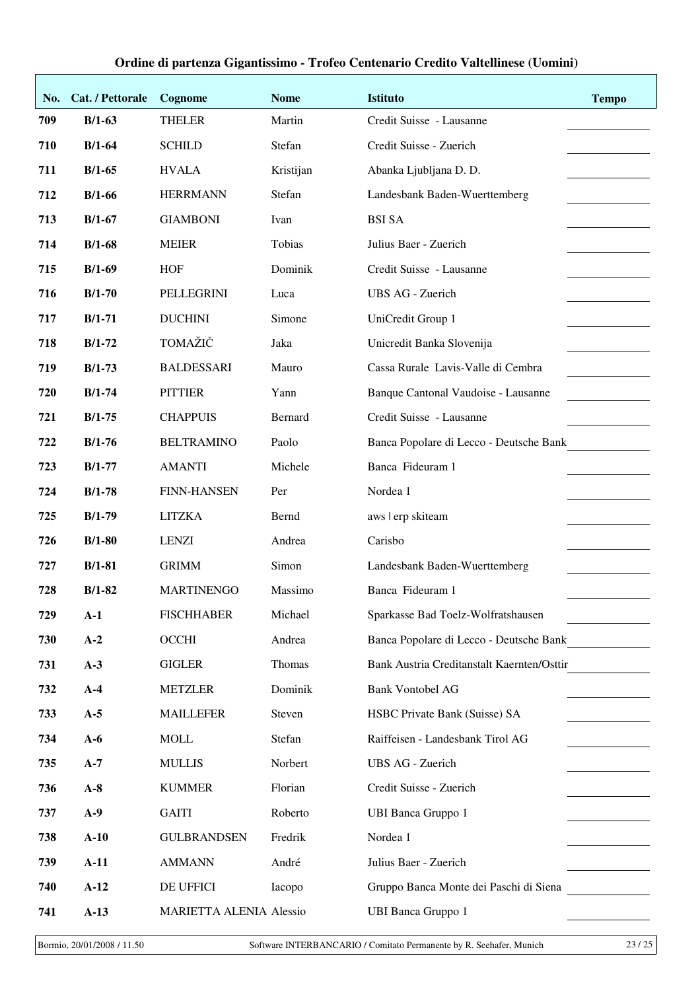| No. | Cat. / Pettorale | Cognome                 | <b>Nome</b> | <b>Istituto</b>                            | <b>Tempo</b> |
|-----|------------------|-------------------------|-------------|--------------------------------------------|--------------|
| 709 | $B/1-63$         | <b>THELER</b>           | Martin      | Credit Suisse - Lausanne                   |              |
| 710 | $B/1-64$         | <b>SCHILD</b>           | Stefan      | Credit Suisse - Zuerich                    |              |
| 711 | $B/1-65$         | <b>HVALA</b>            | Kristijan   | Abanka Ljubljana D. D.                     |              |
| 712 | $B/1-66$         | <b>HERRMANN</b>         | Stefan      | Landesbank Baden-Wuerttemberg              |              |
| 713 | $B/1-67$         | <b>GIAMBONI</b>         | Ivan        | <b>BSI SA</b>                              |              |
| 714 | $B/1-68$         | <b>MEIER</b>            | Tobias      | Julius Baer - Zuerich                      |              |
| 715 | $B/1-69$         | <b>HOF</b>              | Dominik     | Credit Suisse - Lausanne                   |              |
| 716 | $B/1-70$         | PELLEGRINI              | Luca        | <b>UBS AG - Zuerich</b>                    |              |
| 717 | $B/1-71$         | <b>DUCHINI</b>          | Simone      | UniCredit Group 1                          |              |
| 718 | $B/1-72$         | TOMAŽIČ                 | Jaka        | Unicredit Banka Slovenija                  |              |
| 719 | $B/1-73$         | <b>BALDESSARI</b>       | Mauro       | Cassa Rurale Lavis-Valle di Cembra         |              |
| 720 | $B/1-74$         | <b>PITTIER</b>          | Yann        | Banque Cantonal Vaudoise - Lausanne        |              |
| 721 | $B/1-75$         | <b>CHAPPUIS</b>         | Bernard     | Credit Suisse - Lausanne                   |              |
| 722 | $B/1-76$         | <b>BELTRAMINO</b>       | Paolo       | Banca Popolare di Lecco - Deutsche Bank    |              |
| 723 | $B/1-77$         | <b>AMANTI</b>           | Michele     | Banca Fideuram 1                           |              |
| 724 | $B/1-78$         | <b>FINN-HANSEN</b>      | Per         | Nordea 1                                   |              |
| 725 | $B/1-79$         | <b>LITZKA</b>           | Bernd       | aws   erp skiteam                          |              |
| 726 | $B/1-80$         | <b>LENZI</b>            | Andrea      | Carisbo                                    |              |
| 727 | $B/1-81$         | <b>GRIMM</b>            | Simon       | Landesbank Baden-Wuerttemberg              |              |
| 728 | $B/1-82$         | <b>MARTINENGO</b>       | Massimo     | Banca Fideuram 1                           |              |
| 729 | $A-1$            | <b>FISCHHABER</b>       | Michael     | Sparkasse Bad Toelz-Wolfratshausen         |              |
| 730 | $A-2$            | OCCHI                   | Andrea      | Banca Popolare di Lecco - Deutsche Bank    |              |
| 731 | $A-3$            | <b>GIGLER</b>           | Thomas      | Bank Austria Creditanstalt Kaernten/Osttir |              |
| 732 | $A-4$            | <b>METZLER</b>          | Dominik     | <b>Bank Vontobel AG</b>                    |              |
| 733 | $A-5$            | <b>MAILLEFER</b>        | Steven      | HSBC Private Bank (Suisse) SA              |              |
| 734 | $A-6$            | <b>MOLL</b>             | Stefan      | Raiffeisen - Landesbank Tirol AG           |              |
| 735 | $A-7$            | <b>MULLIS</b>           | Norbert     | UBS AG - Zuerich                           |              |
| 736 | $A-8$            | <b>KUMMER</b>           | Florian     | Credit Suisse - Zuerich                    |              |
| 737 | $A-9$            | <b>GAITI</b>            | Roberto     | <b>UBI Banca Gruppo 1</b>                  |              |
| 738 | $A-10$           | <b>GULBRANDSEN</b>      | Fredrik     | Nordea 1                                   |              |
| 739 | $A-11$           | <b>AMMANN</b>           | André       | Julius Baer - Zuerich                      |              |
| 740 | $A-12$           | DE UFFICI               | Iacopo      | Gruppo Banca Monte dei Paschi di Siena     |              |
| 741 | $A-13$           | MARIETTA ALENIA Alessio |             | <b>UBI Banca Gruppo 1</b>                  |              |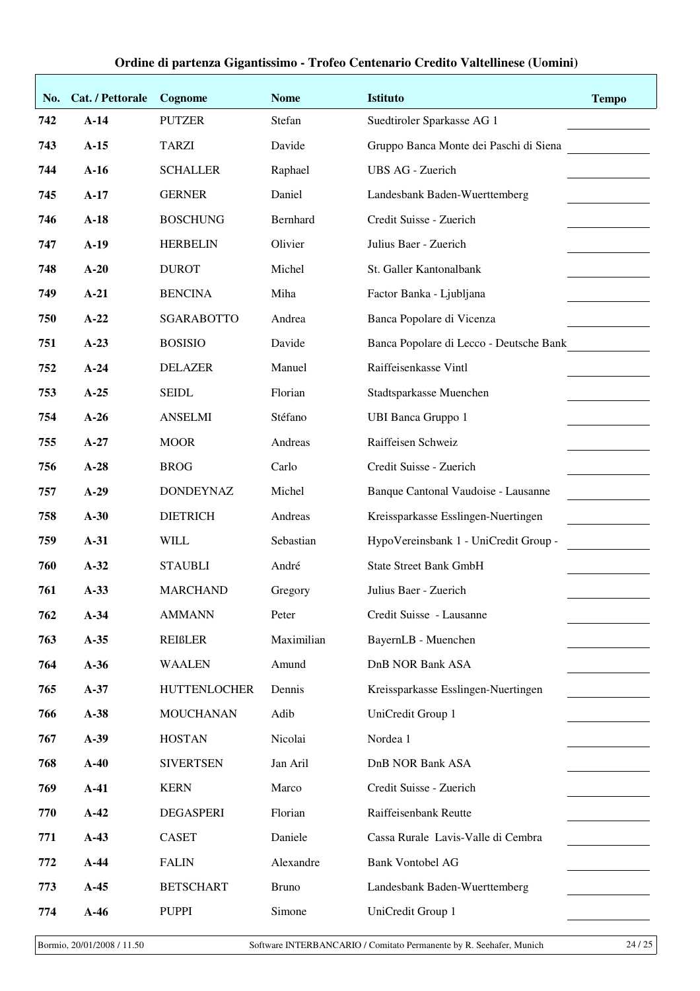| No. | Cat. / Pettorale | Cognome             | <b>Nome</b>  | <b>Istituto</b>                         | <b>Tempo</b> |
|-----|------------------|---------------------|--------------|-----------------------------------------|--------------|
| 742 | $A-14$           | <b>PUTZER</b>       | Stefan       | Suedtiroler Sparkasse AG 1              |              |
| 743 | $A-15$           | <b>TARZI</b>        | Davide       | Gruppo Banca Monte dei Paschi di Siena  |              |
| 744 | $A-16$           | <b>SCHALLER</b>     | Raphael      | <b>UBS AG - Zuerich</b>                 |              |
| 745 | $A-17$           | <b>GERNER</b>       | Daniel       | Landesbank Baden-Wuerttemberg           |              |
| 746 | $A-18$           | <b>BOSCHUNG</b>     | Bernhard     | Credit Suisse - Zuerich                 |              |
| 747 | $A-19$           | <b>HERBELIN</b>     | Olivier      | Julius Baer - Zuerich                   |              |
| 748 | $A-20$           | <b>DUROT</b>        | Michel       | St. Galler Kantonalbank                 |              |
| 749 | $A-21$           | <b>BENCINA</b>      | Miha         | Factor Banka - Ljubljana                |              |
| 750 | $A-22$           | <b>SGARABOTTO</b>   | Andrea       | Banca Popolare di Vicenza               |              |
| 751 | $A-23$           | <b>BOSISIO</b>      | Davide       | Banca Popolare di Lecco - Deutsche Bank |              |
| 752 | $A-24$           | <b>DELAZER</b>      | Manuel       | Raiffeisenkasse Vintl                   |              |
| 753 | $A-25$           | <b>SEIDL</b>        | Florian      | Stadtsparkasse Muenchen                 |              |
| 754 | $A-26$           | <b>ANSELMI</b>      | Stéfano      | <b>UBI Banca Gruppo 1</b>               |              |
| 755 | $A-27$           | <b>MOOR</b>         | Andreas      | Raiffeisen Schweiz                      |              |
| 756 | $A-28$           | <b>BROG</b>         | Carlo        | Credit Suisse - Zuerich                 |              |
| 757 | $A-29$           | <b>DONDEYNAZ</b>    | Michel       | Banque Cantonal Vaudoise - Lausanne     |              |
| 758 | $A-30$           | <b>DIETRICH</b>     | Andreas      | Kreissparkasse Esslingen-Nuertingen     |              |
| 759 | $A-31$           | <b>WILL</b>         | Sebastian    | HypoVereinsbank 1 - UniCredit Group -   |              |
| 760 | $A-32$           | <b>STAUBLI</b>      | André        | <b>State Street Bank GmbH</b>           |              |
| 761 | $A-33$           | <b>MARCHAND</b>     | Gregory      | Julius Baer - Zuerich                   |              |
| 762 | $A-34$           | <b>AMMANN</b>       | Peter        | Credit Suisse - Lausanne                |              |
| 763 | $A-35$           | <b>REIBLER</b>      | Maximilian   | BayernLB - Muenchen                     |              |
| 764 | $A-36$           | <b>WAALEN</b>       | Amund        | <b>DnB NOR Bank ASA</b>                 |              |
| 765 | $A-37$           | <b>HUTTENLOCHER</b> | Dennis       | Kreissparkasse Esslingen-Nuertingen     |              |
| 766 | $A-38$           | <b>MOUCHANAN</b>    | Adib         | UniCredit Group 1                       |              |
| 767 | $A-39$           | <b>HOSTAN</b>       | Nicolai      | Nordea 1                                |              |
| 768 | $A-40$           | <b>SIVERTSEN</b>    | Jan Aril     | <b>DnB NOR Bank ASA</b>                 |              |
| 769 | $A-41$           | <b>KERN</b>         | Marco        | Credit Suisse - Zuerich                 |              |
| 770 | $A-42$           | <b>DEGASPERI</b>    | Florian      | Raiffeisenbank Reutte                   |              |
| 771 | $A-43$           | <b>CASET</b>        | Daniele      | Cassa Rurale Lavis-Valle di Cembra      |              |
| 772 | $A-44$           | <b>FALIN</b>        | Alexandre    | <b>Bank Vontobel AG</b>                 |              |
| 773 | $A-45$           | <b>BETSCHART</b>    | <b>Bruno</b> | Landesbank Baden-Wuerttemberg           |              |
| 774 | $A-46$           | <b>PUPPI</b>        | Simone       | UniCredit Group 1                       |              |